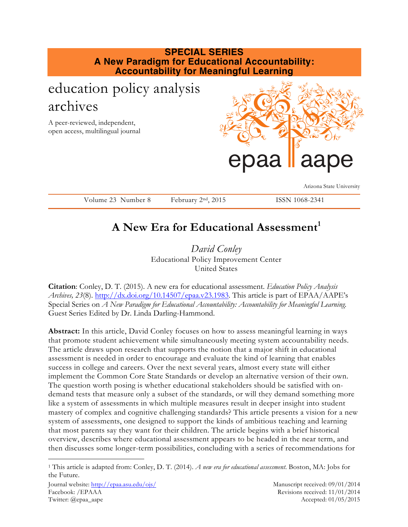# **SPECIAL SERIES A New Paradigm for Educational Accountability: Accountability for Meaningful Learning** education policy analysis archives A peer-reviewed, independent, open access, multilingual journal Arizona State University Volume 23 Number 8 February 2<sup>nd</sup>, 2015 ISSN 1068-2341 epaa II aape

## **A New Era for Educational Assessment**<sup>1</sup>

*David Conley* Educational Policy Improvement Center United States

**Citation**: Conley, D. T. (2015). A new era for educational assessment. *Education Policy Analysis Archives, 23*(8). http://dx.doi.org/10.14507/epaa.v23.1983. This article is part of EPAA/AAPE's Special Series on *A New Paradigm for Educational Accountability: Accountability for Meaningful Learning.*  Guest Series Edited by Dr. Linda Darling-Hammond.

**Abstract:** In this article, David Conley focuses on how to assess meaningful learning in ways that promote student achievement while simultaneously meeting system accountability needs. The article draws upon research that supports the notion that a major shift in educational assessment is needed in order to encourage and evaluate the kind of learning that enables success in college and careers. Over the next several years, almost every state will either implement the Common Core State Standards or develop an alternative version of their own. The question worth posing is whether educational stakeholders should be satisfied with ondemand tests that measure only a subset of the standards, or will they demand something more like a system of assessments in which multiple measures result in deeper insight into student mastery of complex and cognitive challenging standards? This article presents a vision for a new system of assessments, one designed to support the kinds of ambitious teaching and learning that most parents say they want for their children. The article begins with a brief historical overview, describes where educational assessment appears to be headed in the near term, and then discusses some longer-term possibilities, concluding with a series of recommendations for

 <sup>1</sup> This article is adapted from: Conley, D. T. (2014). *A new era for educational assessment*. Boston, MA: Jobs for the Future.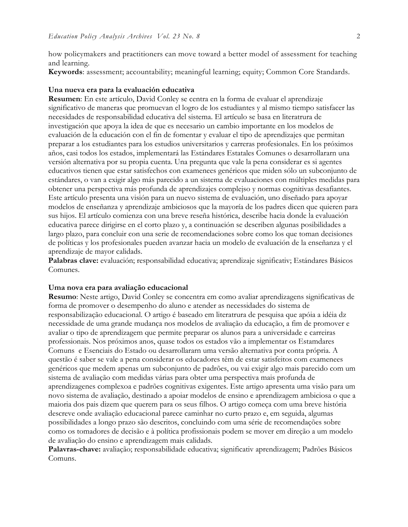how policymakers and practitioners can move toward a better model of assessment for teaching and learning.

**Keywords**: assessment; accountability; meaningful learning; equity; Common Core Standards.

#### **Una nueva era para la evaluación educativa**

**Resumen**: En este artículo, David Conley se centra en la forma de evaluar el aprendizaje significativo de maneras que promuevan el logro de los estudiantes y al mismo tiempo satisfacer las necesidades de responsabilidad educativa del sistema. El artículo se basa en literatrura de investigación que apoya la idea de que es necesario un cambio importante en los modelos de evaluación de la educación con el fin de fomentar y evaluar el tipo de aprendizajes que permitan preparar a los estudiantes para los estudios universitarios y carreras profesionales. En los próximos años, casi todos los estados, implementará las Estándares Estatales Comunes o desarrollararn una versión alternativa por su propia cuenta. Una pregunta que vale la pena considerar es si agentes educativos tienen que estar satisfechos con examenees genéricos que miden sólo un subconjunto de estándares, o van a exigir algo más parecido a un sistema de evaluaciones con múltiples medidas para obtener una perspectiva más profunda de aprendizajes complejso y normas cognitivas desafiantes. Este artículo presenta una visión para un nuevo sistema de evaluación, uno diseñado para apoyar modelos de enseñanza y aprendizaje ambiciosos que la mayoría de los padres dicen que quieren para sus hijos. El artículo comienza con una breve reseña histórica, describe hacia donde la evaluación educativa parece dirigirse en el corto plazo y, a continuación se describen algunas posibilidades a largo plazo, para concluir con una serie de recomendaciones sobre como los que toman decisiones de políticas y los profesionales pueden avanzar hacia un modelo de evaluación de la enseñanza y el aprendizaje de mayor calidads.

**Palabras clave:** evaluación; responsabilidad educativa; aprendizaje significativ; Estándares Básicos Comunes.

#### **Uma nova era para avaliação educacional**

**Resumo**: Neste artigo, David Conley se concentra em como avaliar aprendizagens significativas de forma de promover o desempenho do aluno e atender as necessidades do sistema de responsabilização educacional. O artigo é baseado em literatrura de pesquisa que apóia a idéia dz necessidade de uma grande mudança nos modelos de avaliação da educação, a fim de promover e avaliar o tipo de aprendizagem que permite preparar os alunos para a universidade e carreiras professionais. Nos próximos anos, quase todos os estados vão a implementar os Estamdares Comuns e Esenciais do Estado ou desarrollararn uma versão alternativa por conta própria. A questão é saber se vale a pena considerar os educadores têm de estar satisfeitos com examenees genéricos que medem apenas um subconjunto de padrões, ou vai exigir algo mais parecido com um sistema de avaliação com medidas várias para obter uma perspectiva mais profunda de aprendizagenes complexoa e padrões cognitivas exigentes. Este artigo apresenta uma visão para um novo sistema de avaliação, destinado a apoiar modelos de ensino e aprendizagem ambiciosa o que a maioria dos pais dizem que querem para os seus filhos. O artigo começa com uma breve história descreve onde avaliação educacional parece caminhar no curto prazo e, em seguida, algumas possibilidades a longo prazo são descritos, concluindo com uma série de recomendações sobre como os tomadores de decisão e à política profissionais podem se mover em direção a um modelo de avaliação do ensino e aprendizagem mais calidads.

**Palavras-chave:** avaliação; responsabilidade educativa; significativ aprendizagem; Padrões Básicos Comuns.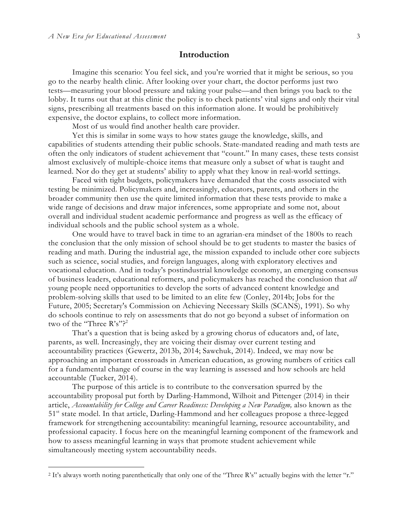## **Introduction**

Imagine this scenario: You feel sick, and you're worried that it might be serious, so you go to the nearby health clinic. After looking over your chart, the doctor performs just two tests—measuring your blood pressure and taking your pulse—and then brings you back to the lobby. It turns out that at this clinic the policy is to check patients' vital signs and only their vital signs, prescribing all treatments based on this information alone. It would be prohibitively expensive, the doctor explains, to collect more information.

Most of us would find another health care provider.

Yet this is similar in some ways to how states gauge the knowledge, skills, and capabilities of students attending their public schools. State-mandated reading and math tests are often the only indicators of student achievement that "count." In many cases, these tests consist almost exclusively of multiple-choice items that measure only a subset of what is taught and learned. Nor do they get at students' ability to apply what they know in real-world settings.

Faced with tight budgets, policymakers have demanded that the costs associated with testing be minimized. Policymakers and, increasingly, educators, parents, and others in the broader community then use the quite limited information that these tests provide to make a wide range of decisions and draw major inferences, some appropriate and some not, about overall and individual student academic performance and progress as well as the efficacy of individual schools and the public school system as a whole.

One would have to travel back in time to an agrarian-era mindset of the 1800s to reach the conclusion that the only mission of school should be to get students to master the basics of reading and math. During the industrial age, the mission expanded to include other core subjects such as science, social studies, and foreign languages, along with exploratory electives and vocational education. And in today's postindustrial knowledge economy, an emerging consensus of business leaders, educational reformers, and policymakers has reached the conclusion that *all* young people need opportunities to develop the sorts of advanced content knowledge and problem-solving skills that used to be limited to an elite few (Conley, 2014b; Jobs for the Future, 2005; Secretary's Commission on Achieving Necessary Skills (SCANS), 1991). So why do schools continue to rely on assessments that do not go beyond a subset of information on two of the "Three  $R's"$ ?<sup>2</sup>

That's a question that is being asked by a growing chorus of educators and, of late, parents, as well. Increasingly, they are voicing their dismay over current testing and accountability practices (Gewertz, 2013b, 2014; Sawchuk, 2014). Indeed, we may now be approaching an important crossroads in American education, as growing numbers of critics call for a fundamental change of course in the way learning is assessed and how schools are held accountable (Tucker, 2014).

The purpose of this article is to contribute to the conversation spurred by the accountability proposal put forth by Darling-Hammond, Wilhoit and Pittenger (2014) in their article, *Accountability for College and Career Readiness: Developing a New Paradigm,* also known as the 51<sup>st</sup> state model. In that article, Darling-Hammond and her colleagues propose a three-legged framework for strengthening accountability: meaningful learning, resource accountability, and professional capacity. I focus here on the meaningful learning component of the framework and how to assess meaningful learning in ways that promote student achievement while simultaneously meeting system accountability needs.

 <sup>2</sup> It's always worth noting parenthetically that only one of the "Three R's" actually begins with the letter "r."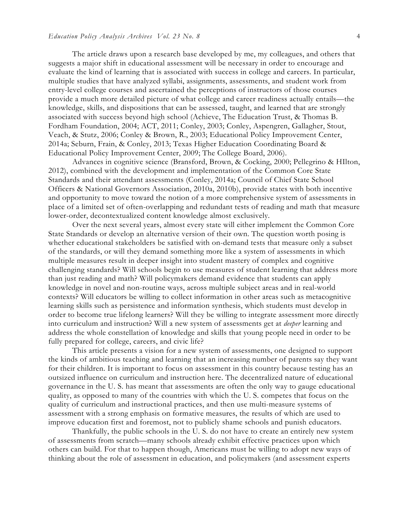The article draws upon a research base developed by me, my colleagues, and others that suggests a major shift in educational assessment will be necessary in order to encourage and evaluate the kind of learning that is associated with success in college and careers. In particular, multiple studies that have analyzed syllabi, assignments, assessments, and student work from entry-level college courses and ascertained the perceptions of instructors of those courses provide a much more detailed picture of what college and career readiness actually entails—the knowledge, skills, and dispositions that can be assessed, taught, and learned that are strongly associated with success beyond high school (Achieve, The Education Trust, & Thomas B. Fordham Foundation, 2004; ACT, 2011; Conley, 2003; Conley, Aspengren, Gallagher, Stout, Veach, & Stutz, 2006; Conley & Brown, R., 2003; Educational Policy Improvement Center, 2014a; Seburn, Frain, & Conley, 2013; Texas Higher Education Coordinating Board & Educational Policy Improvement Center, 2009; The College Board, 2006).

Advances in cognitive science (Bransford, Brown, & Cocking, 2000; Pellegrino & HIlton, 2012), combined with the development and implementation of the Common Core State Standards and their attendant assessments (Conley, 2014a; Council of Chief State School Officers & National Governors Association, 2010a, 2010b), provide states with both incentive and opportunity to move toward the notion of a more comprehensive system of assessments in place of a limited set of often-overlapping and redundant tests of reading and math that measure lower-order, decontextualized content knowledge almost exclusively.

Over the next several years, almost every state will either implement the Common Core State Standards or develop an alternative version of their own. The question worth posing is whether educational stakeholders be satisfied with on-demand tests that measure only a subset of the standards, or will they demand something more like a system of assessments in which multiple measures result in deeper insight into student mastery of complex and cognitive challenging standards? Will schools begin to use measures of student learning that address more than just reading and math? Will policymakers demand evidence that students can apply knowledge in novel and non-routine ways, across multiple subject areas and in real-world contexts? Will educators be willing to collect information in other areas such as metacognitive learning skills such as persistence and information synthesis, which students must develop in order to become true lifelong learners? Will they be willing to integrate assessment more directly into curriculum and instruction? Will a new system of assessments get at *deeper* learning and address the whole constellation of knowledge and skills that young people need in order to be fully prepared for college, careers, and civic life?

This article presents a vision for a new system of assessments, one designed to support the kinds of ambitious teaching and learning that an increasing number of parents say they want for their children. It is important to focus on assessment in this country because testing has an outsized influence on curriculum and instruction here. The decentralized nature of educational governance in the U. S. has meant that assessments are often the only way to gauge educational quality, as opposed to many of the countries with which the U. S. competes that focus on the quality of curriculum and instructional practices, and then use multi-measure systems of assessment with a strong emphasis on formative measures, the results of which are used to improve education first and foremost, not to publicly shame schools and punish educators.

Thankfully, the public schools in the U. S. do not have to create an entirely new system of assessments from scratch—many schools already exhibit effective practices upon which others can build. For that to happen though, Americans must be willing to adopt new ways of thinking about the role of assessment in education, and policymakers (and assessment experts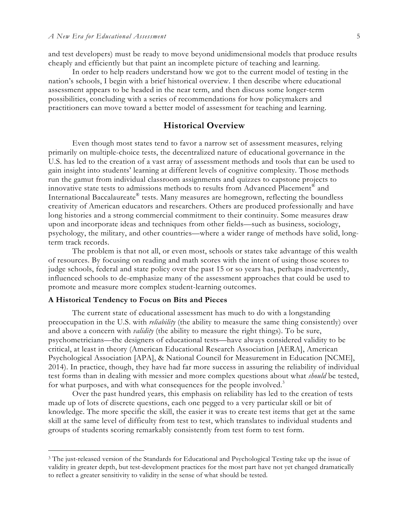and test developers) must be ready to move beyond unidimensional models that produce results cheaply and efficiently but that paint an incomplete picture of teaching and learning.

In order to help readers understand how we got to the current model of testing in the nation's schools, I begin with a brief historical overview. I then describe where educational assessment appears to be headed in the near term, and then discuss some longer-term possibilities, concluding with a series of recommendations for how policymakers and practitioners can move toward a better model of assessment for teaching and learning.

## **Historical Overview**

Even though most states tend to favor a narrow set of assessment measures, relying primarily on multiple-choice tests, the decentralized nature of educational governance in the U.S. has led to the creation of a vast array of assessment methods and tools that can be used to gain insight into students' learning at different levels of cognitive complexity. Those methods run the gamut from individual classroom assignments and quizzes to capstone projects to innovative state tests to admissions methods to results from Advanced Placement® and International Baccalaureate® tests. Many measures are homegrown, reflecting the boundless creativity of American educators and researchers. Others are produced professionally and have long histories and a strong commercial commitment to their continuity. Some measures draw upon and incorporate ideas and techniques from other fields—such as business, sociology, psychology, the military, and other countries—where a wider range of methods have solid, longterm track records.

The problem is that not all, or even most, schools or states take advantage of this wealth of resources. By focusing on reading and math scores with the intent of using those scores to judge schools, federal and state policy over the past 15 or so years has, perhaps inadvertently, influenced schools to de-emphasize many of the assessment approaches that could be used to promote and measure more complex student-learning outcomes.

## **A Historical Tendency to Focus on Bits and Pieces**

The current state of educational assessment has much to do with a longstanding preoccupation in the U.S. with *reliability* (the ability to measure the same thing consistently) over and above a concern with *validity* (the ability to measure the right things). To be sure, psychometricians—the designers of educational tests—have always considered validity to be critical, at least in theory (American Educational Research Association [AERA], American Psychological Association [APA], & National Council for Measurement in Education [NCME], 2014). In practice, though, they have had far more success in assuring the reliability of individual test forms than in dealing with messier and more complex questions about what *should* be tested, for what purposes, and with what consequences for the people involved.<sup>3</sup>

Over the past hundred years, this emphasis on reliability has led to the creation of tests made up of lots of discrete questions, each one pegged to a very particular skill or bit of knowledge. The more specific the skill, the easier it was to create test items that get at the same skill at the same level of difficulty from test to test, which translates to individual students and groups of students scoring remarkably consistently from test form to test form.

 <sup>3</sup> The just-released version of the Standards for Educational and Psychological Testing take up the issue of validity in greater depth, but test-development practices for the most part have not yet changed dramatically to reflect a greater sensitivity to validity in the sense of what should be tested.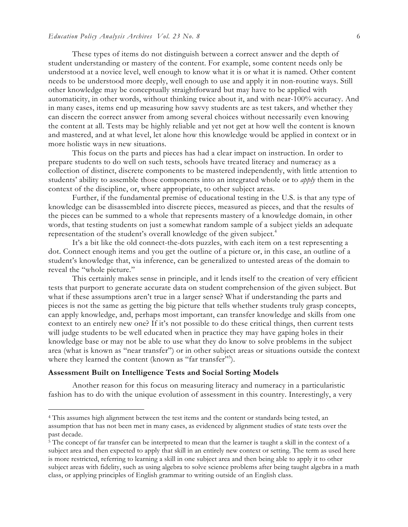These types of items do not distinguish between a correct answer and the depth of student understanding or mastery of the content. For example, some content needs only be understood at a novice level, well enough to know what it is or what it is named. Other content needs to be understood more deeply, well enough to use and apply it in non-routine ways. Still other knowledge may be conceptually straightforward but may have to be applied with automaticity, in other words, without thinking twice about it, and with near-100% accuracy. And in many cases, items end up measuring how savvy students are as test takers, and whether they can discern the correct answer from among several choices without necessarily even knowing the content at all. Tests may be highly reliable and yet not get at how well the content is known and mastered, and at what level, let alone how this knowledge would be applied in context or in more holistic ways in new situations.

This focus on the parts and pieces has had a clear impact on instruction. In order to prepare students to do well on such tests, schools have treated literacy and numeracy as a collection of distinct, discrete components to be mastered independently, with little attention to students' ability to assemble those components into an integrated whole or to *apply* them in the context of the discipline, or, where appropriate, to other subject areas.

Further, if the fundamental premise of educational testing in the U.S. is that any type of knowledge can be disassembled into discrete pieces, measured as pieces, and that the results of the pieces can be summed to a whole that represents mastery of a knowledge domain, in other words, that testing students on just a somewhat random sample of a subject yields an adequate representation of the student's overall knowledge of the given subject.<sup>4</sup>

It's a bit like the old connect-the-dots puzzles, with each item on a test representing a dot. Connect enough items and you get the outline of a picture or, in this case, an outline of a student's knowledge that, via inference, can be generalized to untested areas of the domain to reveal the "whole picture."

This certainly makes sense in principle, and it lends itself to the creation of very efficient tests that purport to generate accurate data on student comprehension of the given subject. But what if these assumptions aren't true in a larger sense? What if understanding the parts and pieces is not the same as getting the big picture that tells whether students truly grasp concepts, can apply knowledge, and, perhaps most important, can transfer knowledge and skills from one context to an entirely new one? If it's not possible to do these critical things, then current tests will judge students to be well educated when in practice they may have gaping holes in their knowledge base or may not be able to use what they do know to solve problems in the subject area (what is known as "near transfer") or in other subject areas or situations outside the context where they learned the content (known as "far transfer"<sup>5</sup>).

#### **Assessment Built on Intelligence Tests and Social Sorting Models**

Another reason for this focus on measuring literacy and numeracy in a particularistic fashion has to do with the unique evolution of assessment in this country. Interestingly, a very

 <sup>4</sup> This assumes high alignment between the test items and the content or standards being tested, an assumption that has not been met in many cases, as evidenced by alignment studies of state tests over the past decade.

<sup>5</sup> The concept of far transfer can be interpreted to mean that the learner is taught a skill in the context of a subject area and then expected to apply that skill in an entirely new context or setting. The term as used here is more restricted, referring to learning a skill in one subject area and then being able to apply it to other subject areas with fidelity, such as using algebra to solve science problems after being taught algebra in a math class, or applying principles of English grammar to writing outside of an English class.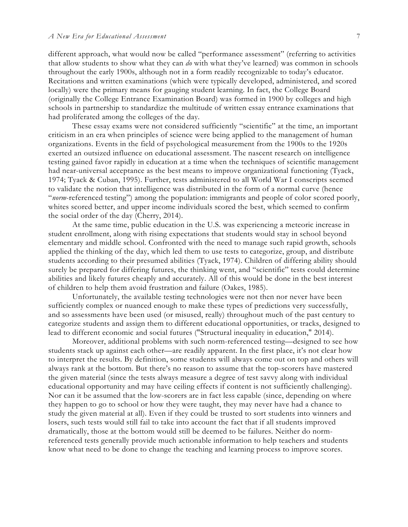different approach, what would now be called "performance assessment" (referring to activities that allow students to show what they can *do* with what they've learned) was common in schools throughout the early 1900s, although not in a form readily recognizable to today's educator. Recitations and written examinations (which were typically developed, administered, and scored locally) were the primary means for gauging student learning. In fact, the College Board (originally the College Entrance Examination Board) was formed in 1900 by colleges and high schools in partnership to standardize the multitude of written essay entrance examinations that had proliferated among the colleges of the day.

These essay exams were not considered sufficiently "scientific" at the time, an important criticism in an era when principles of science were being applied to the management of human organizations. Events in the field of psychological measurement from the 1900s to the 1920s exerted an outsized influence on educational assessment. The nascent research on intelligence testing gained favor rapidly in education at a time when the techniques of scientific management had near-universal acceptance as the best means to improve organizational functioning (Tyack, 1974; Tyack & Cuban, 1995). Further, tests administered to all World War I conscripts seemed to validate the notion that intelligence was distributed in the form of a normal curve (hence "*norm*-referenced testing") among the population: immigrants and people of color scored poorly, whites scored better, and upper income individuals scored the best, which seemed to confirm the social order of the day (Cherry, 2014).

At the same time, public education in the U.S. was experiencing a meteoric increase in student enrollment, along with rising expectations that students would stay in school beyond elementary and middle school. Confronted with the need to manage such rapid growth, schools applied the thinking of the day, which led them to use tests to categorize, group, and distribute students according to their presumed abilities (Tyack, 1974). Children of differing ability should surely be prepared for differing futures, the thinking went, and "scientific" tests could determine abilities and likely futures cheaply and accurately. All of this would be done in the best interest of children to help them avoid frustration and failure (Oakes, 1985).

Unfortunately, the available testing technologies were not then nor never have been sufficiently complex or nuanced enough to make these types of predictions very successfully, and so assessments have been used (or misused, really) throughout much of the past century to categorize students and assign them to different educational opportunities, or tracks, designed to lead to different economic and social futures ("Structural inequality in education," 2014).

Moreover, additional problems with such norm-referenced testing—designed to see how students stack up against each other—are readily apparent. In the first place, it's not clear how to interpret the results. By definition, some students will always come out on top and others will always rank at the bottom. But there's no reason to assume that the top-scorers have mastered the given material (since the tests always measure a degree of test savvy along with individual educational opportunity and may have ceiling effects if content is not sufficiently challenging). Nor can it be assumed that the low-scorers are in fact less capable (since, depending on where they happen to go to school or how they were taught, they may never have had a chance to study the given material at all). Even if they could be trusted to sort students into winners and losers, such tests would still fail to take into account the fact that if all students improved dramatically, those at the bottom would still be deemed to be failures. Neither do normreferenced tests generally provide much actionable information to help teachers and students know what need to be done to change the teaching and learning process to improve scores.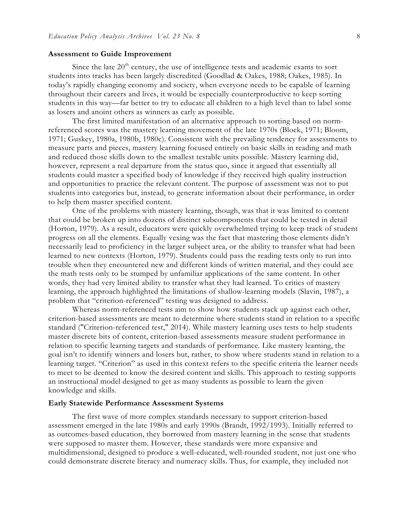#### **Assessment to Guide Improvement**

Since the late  $20<sup>th</sup>$  century, the use of intelligence tests and academic exams to sort students into tracks has been largely discredited (Goodlad & Oakes, 1988; Oakes, 1985). In today's rapidly changing economy and society, when everyone needs to be capable of learning throughout their careers and lives, it would be especially counterproductive to keep sorting students in this way—far better to try to educate all children to a high level than to label some as losers and anoint others as winners as early as possible.

The first limited manifestation of an alternative approach to sorting based on normreferenced scores was the mastery learning movement of the late 1970s (Block, 1971; Bloom, 1971; Guskey, 1980a, 1980b, 1980c). Consistent with the prevailing tendency for assessments to measure parts and pieces, mastery learning focused entirely on basic skills in reading and math and reduced those skills down to the smallest testable units possible. Mastery learning did, however, represent a real departure from the status quo, since it argued that essentially all students could master a specified body of knowledge if they received high quality instruction and opportunities to practice the relevant content. The purpose of assessment was not to put students into categories but, instead, to generate information about their performance, in order to help them master specified content.

One of the problems with mastery learning, though, was that it was limited to content that could be broken up into dozens of distinct subcomponents that could be tested in detail (Horton, 1979). As a result, educators were quickly overwhelmed trying to keep track of student progress on all the elements. Equally vexing was the fact that mastering those elements didn't necessarily lead to proficiency in the larger subject area, or the ability to transfer what had been learned to new contexts (Horton, 1979). Students could pass the reading tests only to run into trouble when they encountered new and different kinds of written material, and they could ace the math tests only to be stumped by unfamiliar applications of the same content. In other words, they had very limited ability to transfer what they had learned. To critics of mastery learning, the approach highlighted the limitations of shallow-learning models (Slavin, 1987), a problem that "criterion-referenced" testing was designed to address.

Whereas norm-referenced tests aim to show how students stack up against each other, criterion-based assessments are meant to determine where students stand in relation to a specific standard ("Criterion-referenced test," 2014). While mastery learning uses tests to help students master discrete bits of content, criterion-based assessments measure student performance in relation to specific learning targets and standards of performance. Like mastery learning, the goal isn't to identify winners and losers but, rather, to show where students stand in relation to a learning target. "Criterion" as used in this context refers to the specific criteria the learner needs to meet to be deemed to know the desired content and skills. This approach to testing supports an instructional model designed to get as many students as possible to learn the given knowledge and skills.

#### **Early Statewide Performance Assessment Systems**

The first wave of more complex standards necessary to support criterion-based assessment emerged in the late 1980s and early 1990s (Brandt, 1992/1993). Initially referred to as outcomes-based education, they borrowed from mastery learning in the sense that students were supposed to master them. However, these standards were more expansive and multidimensional, designed to produce a well-educated, well-rounded student, not just one who could demonstrate discrete literacy and numeracy skills. Thus, for example, they included not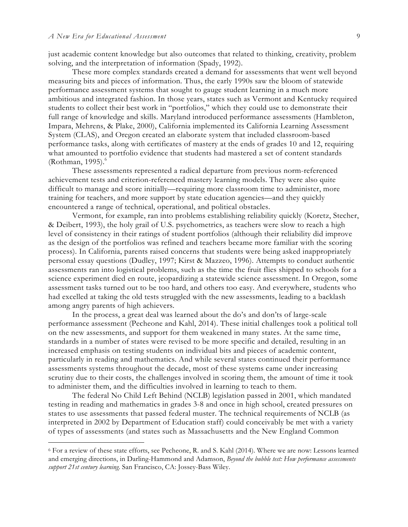just academic content knowledge but also outcomes that related to thinking, creativity, problem solving, and the interpretation of information (Spady, 1992).

These more complex standards created a demand for assessments that went well beyond measuring bits and pieces of information. Thus, the early 1990s saw the bloom of statewide performance assessment systems that sought to gauge student learning in a much more ambitious and integrated fashion. In those years, states such as Vermont and Kentucky required students to collect their best work in "portfolios," which they could use to demonstrate their full range of knowledge and skills. Maryland introduced performance assessments (Hambleton, Impara, Mehrens, & Plake, 2000), California implemented its California Learning Assessment System (CLAS), and Oregon created an elaborate system that included classroom-based performance tasks, along with certificates of mastery at the ends of grades 10 and 12, requiring what amounted to portfolio evidence that students had mastered a set of content standards (Rothman, 1995). 6

These assessments represented a radical departure from previous norm-referenced achievement tests and criterion-referenced mastery learning models. They were also quite difficult to manage and score initially—requiring more classroom time to administer, more training for teachers, and more support by state education agencies—and they quickly encountered a range of technical, operational, and political obstacles.

Vermont, for example, ran into problems establishing reliability quickly (Koretz, Stecher, & Deibert, 1993), the holy grail of U.S. psychometrics, as teachers were slow to reach a high level of consistency in their ratings of student portfolios (although their reliability did improve as the design of the portfolios was refined and teachers became more familiar with the scoring process). In California, parents raised concerns that students were being asked inappropriately personal essay questions (Dudley, 1997; Kirst & Mazzeo, 1996). Attempts to conduct authentic assessments ran into logistical problems, such as the time the fruit flies shipped to schools for a science experiment died en route, jeopardizing a statewide science assessment. In Oregon, some assessment tasks turned out to be too hard, and others too easy. And everywhere, students who had excelled at taking the old tests struggled with the new assessments, leading to a backlash among angry parents of high achievers.

In the process, a great deal was learned about the do's and don'ts of large-scale performance assessment (Pecheone and Kahl, 2014). These initial challenges took a political toll on the new assessments, and support for them weakened in many states. At the same time, standards in a number of states were revised to be more specific and detailed, resulting in an increased emphasis on testing students on individual bits and pieces of academic content, particularly in reading and mathematics. And while several states continued their performance assessments systems throughout the decade, most of these systems came under increasing scrutiny due to their costs, the challenges involved in scoring them, the amount of time it took to administer them, and the difficulties involved in learning to teach to them.

The federal No Child Left Behind (NCLB) legislation passed in 2001, which mandated testing in reading and mathematics in grades 3-8 and once in high school, created pressures on states to use assessments that passed federal muster. The technical requirements of NCLB (as interpreted in 2002 by Department of Education staff) could conceivably be met with a variety of types of assessments (and states such as Massachusetts and the New England Common

 <sup>6</sup> For a review of these state efforts, see Pecheone, R. and S. Kahl (2014). Where we are now: Lessons learned and emerging directions, in Darling-Hammond and Adamson, *Beyond the bubble test: How performance assessments support 21st century learning*. San Francisco, CA: Jossey-Bass Wiley.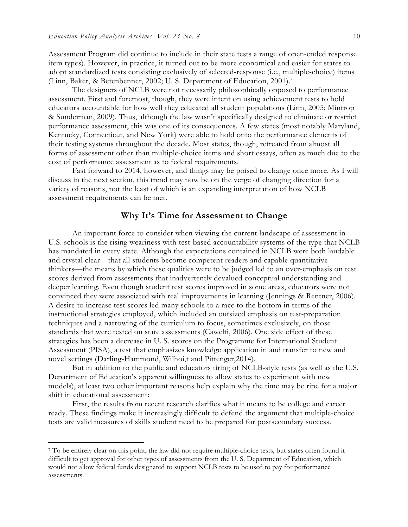Assessment Program did continue to include in their state tests a range of open-ended response item types). However, in practice, it turned out to be more economical and easier for states to adopt standardized tests consisting exclusively of selected-response (i.e., multiple-choice) items (Linn, Baker, & Betenbenner, 2002; U. S. Department of Education, 2001).<sup>7</sup>

The designers of NCLB were not necessarily philosophically opposed to performance assessment. First and foremost, though, they were intent on using achievement tests to hold educators accountable for how well they educated all student populations (Linn, 2005; Mintrop & Sunderman, 2009). Thus, although the law wasn't specifically designed to eliminate or restrict performance assessment, this was one of its consequences. A few states (most notably Maryland, Kentucky, Connecticut, and New York) were able to hold onto the performance elements of their testing systems throughout the decade. Most states, though, retreated from almost all forms of assessment other than multiple-choice items and short essays, often as much due to the cost of performance assessment as to federal requirements.

Fast forward to 2014, however, and things may be poised to change once more. As I will discuss in the next section, this trend may now be on the verge of changing direction for a variety of reasons, not the least of which is an expanding interpretation of how NCLB assessment requirements can be met.

## **Why It's Time for Assessment to Change**

An important force to consider when viewing the current landscape of assessment in U.S. schools is the rising weariness with test-based accountability systems of the type that NCLB has mandated in every state. Although the expectations contained in NCLB were both laudable and crystal clear—that all students become competent readers and capable quantitative thinkers—the means by which these qualities were to be judged led to an over-emphasis on test scores derived from assessments that inadvertently devalued conceptual understanding and deeper learning. Even though student test scores improved in some areas, educators were not convinced they were associated with real improvements in learning (Jennings & Rentner, 2006). A desire to increase test scores led many schools to a race to the bottom in terms of the instructional strategies employed, which included an outsized emphasis on test-preparation techniques and a narrowing of the curriculum to focus, sometimes exclusively, on those standards that were tested on state assessments (Cawelti, 2006). One side effect of these strategies has been a decrease in U. S. scores on the Programme for International Student Assessment (PISA), a test that emphasizes knowledge application in and transfer to new and novel settings (Darling-Hammond, Wilhoi,t and Pittenger,2014).

But in addition to the public and educators tiring of NCLB-style tests (as well as the U.S. Department of Education's apparent willingness to allow states to experiment with new models), at least two other important reasons help explain why the time may be ripe for a major shift in educational assessment:

First, the results from recent research clarifies what it means to be college and career ready. These findings make it increasingly difficult to defend the argument that multiple-choice tests are valid measures of skills student need to be prepared for postsecondary success.

<sup>&</sup>lt;sup>7</sup> To be entirely clear on this point, the law did not require multiple-choice tests, but states often found it difficult to get approval for other types of assessments from the U. S. Department of Education, which would not allow federal funds designated to support NCLB tests to be used to pay for performance assessments.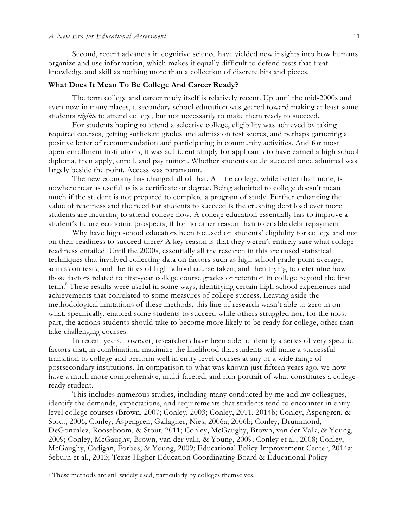Second, recent advances in cognitive science have yielded new insights into how humans organize and use information, which makes it equally difficult to defend tests that treat knowledge and skill as nothing more than a collection of discrete bits and pieces.

#### **What Does It Mean To Be College And Career Ready?**

The term college and career ready itself is relatively recent. Up until the mid-2000s and even now in many places, a secondary school education was geared toward making at least some students *eligible* to attend college, but not necessarily to make them ready to succeed.

For students hoping to attend a selective college, eligibility was achieved by taking required courses, getting sufficient grades and admission test scores, and perhaps garnering a positive letter of recommendation and participating in community activities. And for most open-enrollment institutions, it was sufficient simply for applicants to have earned a high school diploma, then apply, enroll, and pay tuition. Whether students could succeed once admitted was largely beside the point. Access was paramount.

The new economy has changed all of that. A little college, while better than none, is nowhere near as useful as is a certificate or degree. Being admitted to college doesn't mean much if the student is not prepared to complete a program of study. Further enhancing the value of readiness and the need for students to succeed is the crushing debt load ever more students are incurring to attend college now. A college education essentially has to improve a student's future economic prospects, if for no other reason than to enable debt repayment.

Why have high school educators been focused on students' eligibility for college and not on their readiness to succeed there? A key reason is that they weren't entirely sure what college readiness entailed. Until the 2000s, essentially all the research in this area used statistical techniques that involved collecting data on factors such as high school grade-point average, admission tests, and the titles of high school course taken, and then trying to determine how those factors related to first-year college course grades or retention in college beyond the first term.8 These results were useful in some ways, identifying certain high school experiences and achievements that correlated to some measures of college success. Leaving aside the methodological limitations of these methods, this line of research wasn't able to zero in on what, specifically, enabled some students to succeed while others struggled nor, for the most part, the actions students should take to become more likely to be ready for college, other than take challenging courses.

In recent years, however, researchers have been able to identify a series of very specific factors that, in combination, maximize the likelihood that students will make a successful transition to college and perform well in entry-level courses at any of a wide range of postsecondary institutions. In comparison to what was known just fifteen years ago, we now have a much more comprehensive, multi-faceted, and rich portrait of what constitutes a collegeready student.

This includes numerous studies, including many conducted by me and my colleagues, identify the demands, expectations, and requirements that students tend to encounter in entrylevel college courses (Brown, 2007; Conley, 2003; Conley, 2011, 2014b; Conley, Aspengren, & Stout, 2006; Conley, Aspengren, Gallagher, Nies, 2006a, 2006b; Conley, Drummond, DeGonzalez, Rooseboom, & Stout, 2011; Conley, McGaughy, Brown, van der Valk, & Young, 2009; Conley, McGaughy, Brown, van der valk, & Young, 2009; Conley et al., 2008; Conley, McGaughy, Cadigan, Forbes, & Young, 2009; Educational Policy Improvement Center, 2014a; Seburn et al., 2013; Texas Higher Education Coordinating Board & Educational Policy

 <sup>8</sup> These methods are still widely used, particularly by colleges themselves.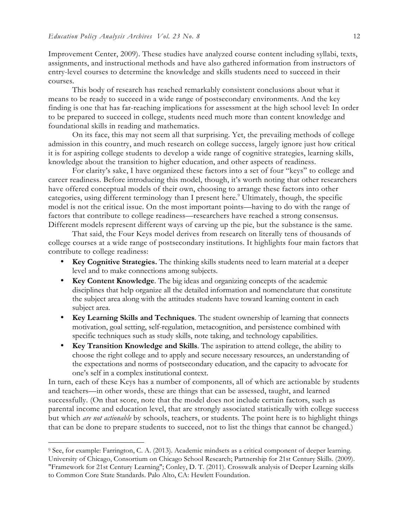Improvement Center, 2009). These studies have analyzed course content including syllabi, texts, assignments, and instructional methods and have also gathered information from instructors of entry-level courses to determine the knowledge and skills students need to succeed in their courses.

This body of research has reached remarkably consistent conclusions about what it means to be ready to succeed in a wide range of postsecondary environments. And the key finding is one that has far-reaching implications for assessment at the high school level: In order to be prepared to succeed in college, students need much more than content knowledge and foundational skills in reading and mathematics.

On its face, this may not seem all that surprising. Yet, the prevailing methods of college admission in this country, and much research on college success, largely ignore just how critical it is for aspiring college students to develop a wide range of cognitive strategies, learning skills, knowledge about the transition to higher education, and other aspects of readiness.

For clarity's sake, I have organized these factors into a set of four "keys" to college and career readiness. Before introducing this model, though, it's worth noting that other researchers have offered conceptual models of their own, choosing to arrange these factors into other categories, using different terminology than I present here.<sup>9</sup> Ultimately, though, the specific model is not the critical issue. On the most important points—having to do with the range of factors that contribute to college readiness—researchers have reached a strong consensus. Different models represent different ways of carving up the pie, but the substance is the same.

That said, the Four Keys model derives from research on literally tens of thousands of college courses at a wide range of postsecondary institutions. It highlights four main factors that contribute to college readiness:

- **Key Cognitive Strategies.** The thinking skills students need to learn material at a deeper level and to make connections among subjects.
- **Key Content Knowledge**. The big ideas and organizing concepts of the academic disciplines that help organize all the detailed information and nomenclature that constitute the subject area along with the attitudes students have toward learning content in each subject area.
- **Key Learning Skills and Techniques**. The student ownership of learning that connects motivation, goal setting, self-regulation, metacognition, and persistence combined with specific techniques such as study skills, note taking, and technology capabilities.
- **Key Transition Knowledge and Skills**. The aspiration to attend college, the ability to choose the right college and to apply and secure necessary resources, an understanding of the expectations and norms of postsecondary education, and the capacity to advocate for one's self in a complex institutional context.

In turn, each of these Keys has a number of components, all of which are actionable by students and teachers—in other words, these are things that can be assessed, taught, and learned successfully. (On that score, note that the model does not include certain factors, such as parental income and education level, that are strongly associated statistically with college success but which *are not actionable* by schools, teachers, or students. The point here is to highlight things that can be done to prepare students to succeed, not to list the things that cannot be changed.)

 <sup>9</sup> See, for example: Farrington, C. A. (2013). Academic mindsets as a critical component of deeper learning. University of Chicago, Consortium on Chicago School Research; Partnership for 21st Century Skills. (2009). "Framework for 21st Century Learning"; Conley, D. T. (2011). Crosswalk analysis of Deeper Learning skills to Common Core State Standards. Palo Alto, CA: Hewlett Foundation.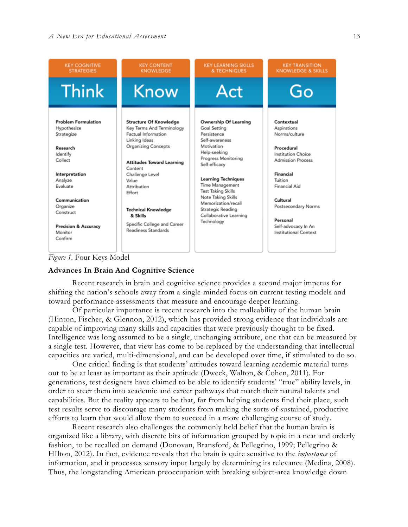| <b>KEY COGNITIVE</b><br><b>STRATEGIES</b>               | <b>KEY CONTENT</b><br><b>KNOWLEDGE</b>                                                             | <b>KEY LEARNING SKILLS</b><br><b>&amp; TECHNIQUES</b>                                           | <b>KEY TRANSITION</b><br><b>KNOWLEDGE &amp; SKILLS</b>       |
|---------------------------------------------------------|----------------------------------------------------------------------------------------------------|-------------------------------------------------------------------------------------------------|--------------------------------------------------------------|
| Think                                                   | Know                                                                                               | Act                                                                                             | Go                                                           |
| <b>Problem Formulation</b><br>Hypothesize<br>Strategize | <b>Structure Of Knowledge</b><br>Key Terms And Terminology<br>Factual Information<br>Linking Ideas | <b>Ownership Of Learning</b><br>Goal Setting<br>Persistence<br>Self-awareness                   | Contextual<br>Aspirations<br>Norms/culture                   |
| Research<br>Identify<br>Collect                         | <b>Organizing Concepts</b><br><b>Attitudes Toward Learning</b><br>Content                          | Motivation<br>Help-seeking<br><b>Progress Monitoring</b><br>Self-efficacy                       | Procedural<br>Institution Choice<br><b>Admission Process</b> |
| Interpretation<br>Analyze<br>Evaluate                   | Challenge Level<br>Value<br>Attribution<br>Effort                                                  | <b>Learning Techniques</b><br>Time Management<br><b>Test Taking Skills</b>                      | Financial<br>Tuition<br>Financial Aid                        |
| Communication<br>Organize<br>Construct                  | <b>Technical Knowledge</b><br>& Skills                                                             | Note Taking Skills<br>Memorization/recall<br><b>Strategic Reading</b><br>Collaborative Learning | Cultural<br>Postsecondary Norms                              |
| <b>Precision &amp; Accuracy</b><br>Monitor<br>Confirm   | Specific College and Career<br>Readiness Standards                                                 | Technology                                                                                      | Personal<br>Self-advocacy In An<br>Institutional Context     |

Figure 1. Four Keys Model

#### **Advances In Brain And Cognitive Science**

Recent research in brain and cognitive science provides a second major impetus for shifting the nation's schools away from a single-minded focus on current testing models and toward performance assessments that measure and encourage deeper learning.

Of particular importance is recent research into the malleability of the human brain (Hinton, Fischer, & Glennon, 2012), which has provided strong evidence that individuals are capable of improving many skills and capacities that were previously thought to be fixed. Intelligence was long assumed to be a single, unchanging attribute, one that can be measured by a single test. However, that view has come to be replaced by the understanding that intellectual capacities are varied, multi-dimensional, and can be developed over time, if stimulated to do so.

One critical finding is that students' attitudes toward learning academic material turns out to be at least as important as their aptitude (Dweck, Walton, & Cohen, 2011). For generations, test designers have claimed to be able to identify students' "true" ability levels, in order to steer them into academic and career pathways that match their natural talents and capabilities. But the reality appears to be that, far from helping students find their place, such test results serve to discourage many students from making the sorts of sustained, productive efforts to learn that would allow them to succeed in a more challenging course of study.

Recent research also challenges the commonly held belief that the human brain is organized like a library, with discrete bits of information grouped by topic in a neat and orderly fashion, to be recalled on demand (Donovan, Bransford, & Pellegrino, 1999; Pellegrino & HIlton, 2012). In fact, evidence reveals that the brain is quite sensitive to the *importance* of information, and it processes sensory input largely by determining its relevance (Medina, 2008). Thus, the longstanding American preoccupation with breaking subject-area knowledge down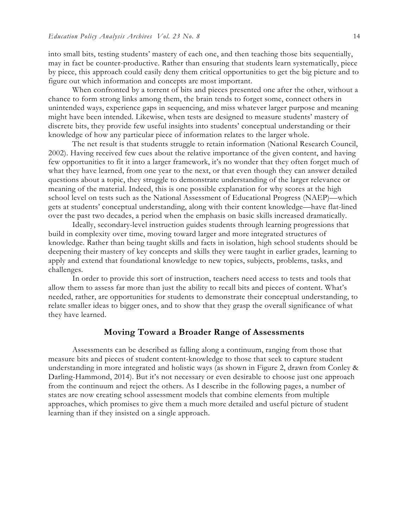into small bits, testing students' mastery of each one, and then teaching those bits sequentially, may in fact be counter-productive. Rather than ensuring that students learn systematically, piece by piece, this approach could easily deny them critical opportunities to get the big picture and to figure out which information and concepts are most important.

When confronted by a torrent of bits and pieces presented one after the other, without a chance to form strong links among them, the brain tends to forget some, connect others in unintended ways, experience gaps in sequencing, and miss whatever larger purpose and meaning might have been intended. Likewise, when tests are designed to measure students' mastery of discrete bits, they provide few useful insights into students' conceptual understanding or their knowledge of how any particular piece of information relates to the larger whole.

The net result is that students struggle to retain information (National Research Council, 2002). Having received few cues about the relative importance of the given content, and having few opportunities to fit it into a larger framework, it's no wonder that they often forget much of what they have learned, from one year to the next, or that even though they can answer detailed questions about a topic, they struggle to demonstrate understanding of the larger relevance or meaning of the material. Indeed, this is one possible explanation for why scores at the high school level on tests such as the National Assessment of Educational Progress (NAEP)—which gets at students' conceptual understanding, along with their content knowledge—have flat-lined over the past two decades, a period when the emphasis on basic skills increased dramatically.

Ideally, secondary-level instruction guides students through learning progressions that build in complexity over time, moving toward larger and more integrated structures of knowledge. Rather than being taught skills and facts in isolation, high school students should be deepening their mastery of key concepts and skills they were taught in earlier grades, learning to apply and extend that foundational knowledge to new topics, subjects, problems, tasks, and challenges.

In order to provide this sort of instruction, teachers need access to tests and tools that allow them to assess far more than just the ability to recall bits and pieces of content. What's needed, rather, are opportunities for students to demonstrate their conceptual understanding, to relate smaller ideas to bigger ones, and to show that they grasp the overall significance of what they have learned.

#### **Moving Toward a Broader Range of Assessments**

Assessments can be described as falling along a continuum, ranging from those that measure bits and pieces of student content-knowledge to those that seek to capture student understanding in more integrated and holistic ways (as shown in Figure 2, drawn from Conley & Darling-Hammond, 2014). But it's not necessary or even desirable to choose just one approach from the continuum and reject the others. As I describe in the following pages, a number of states are now creating school assessment models that combine elements from multiple approaches, which promises to give them a much more detailed and useful picture of student learning than if they insisted on a single approach.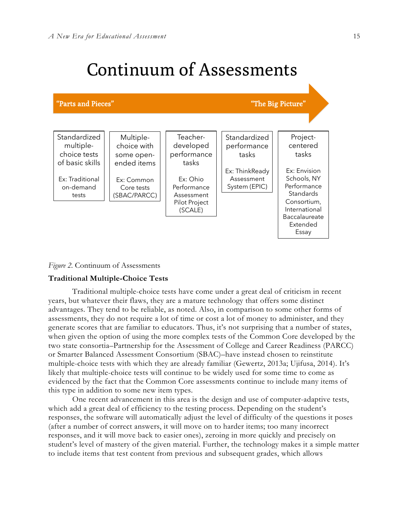# Continuum of Assessments

"Parts and Pieces" "The Big Picture"



#### *Figure 2.* Continuum of Assessments

#### **Traditional Multiple-Choice Tests**

Traditional multiple-choice tests have come under a great deal of criticism in recent years, but whatever their flaws, they are a mature technology that offers some distinct advantages. They tend to be reliable, as noted. Also, in comparison to some other forms of assessments, they do not require a lot of time or cost a lot of money to administer, and they generate scores that are familiar to educators. Thus, it's not surprising that a number of states, when given the option of using the more complex tests of the Common Core developed by the two state consortia–Partnership for the Assessment of College and Career Readiness (PARCC) or Smarter Balanced Assessment Consortium (SBAC)–have instead chosen to reinstitute multiple-choice tests with which they are already familiar (Gewertz, 2013a; Ujifusa, 2014). It's likely that multiple-choice tests will continue to be widely used for some time to come as evidenced by the fact that the Common Core assessments continue to include many items of this type in addition to some new item types.

One recent advancement in this area is the design and use of computer-adaptive tests, which add a great deal of efficiency to the testing process. Depending on the student's responses, the software will automatically adjust the level of difficulty of the questions it poses (after a number of correct answers, it will move on to harder items; too many incorrect responses, and it will move back to easier ones), zeroing in more quickly and precisely on student's level of mastery of the given material. Further, the technology makes it a simple matter to include items that test content from previous and subsequent grades, which allows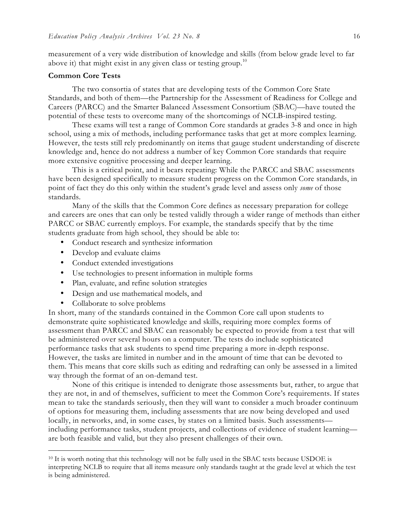measurement of a very wide distribution of knowledge and skills (from below grade level to far above it) that might exist in any given class or testing group.<sup>10</sup>

#### **Common Core Tests**

The two consortia of states that are developing tests of the Common Core State Standards, and both of them—the Partnership for the Assessment of Readiness for College and Careers (PARCC) and the Smarter Balanced Assessment Consortium (SBAC)—have touted the potential of these tests to overcome many of the shortcomings of NCLB-inspired testing.

These exams will test a range of Common Core standards at grades 3-8 and once in high school, using a mix of methods, including performance tasks that get at more complex learning. However, the tests still rely predominantly on items that gauge student understanding of discrete knowledge and, hence do not address a number of key Common Core standards that require more extensive cognitive processing and deeper learning.

This is a critical point, and it bears repeating: While the PARCC and SBAC assessments have been designed specifically to measure student progress on the Common Core standards, in point of fact they do this only within the student's grade level and assess only *some* of those standards.

Many of the skills that the Common Core defines as necessary preparation for college and careers are ones that can only be tested validly through a wider range of methods than either PARCC or SBAC currently employs. For example, the standards specify that by the time students graduate from high school, they should be able to:

- Conduct research and synthesize information
- Develop and evaluate claims
- Conduct extended investigations
- Use technologies to present information in multiple forms
- Plan, evaluate, and refine solution strategies
- Design and use mathematical models, and
- Collaborate to solve problems

In short, many of the standards contained in the Common Core call upon students to demonstrate quite sophisticated knowledge and skills, requiring more complex forms of assessment than PARCC and SBAC can reasonably be expected to provide from a test that will be administered over several hours on a computer. The tests do include sophisticated performance tasks that ask students to spend time preparing a more in-depth response. However, the tasks are limited in number and in the amount of time that can be devoted to them. This means that core skills such as editing and redrafting can only be assessed in a limited way through the format of an on-demand test.

None of this critique is intended to denigrate those assessments but, rather, to argue that they are not, in and of themselves, sufficient to meet the Common Core's requirements. If states mean to take the standards seriously, then they will want to consider a much broader continuum of options for measuring them, including assessments that are now being developed and used locally, in networks, and, in some cases, by states on a limited basis. Such assessments including performance tasks, student projects, and collections of evidence of student learning are both feasible and valid, but they also present challenges of their own.

<sup>&</sup>lt;sup>10</sup> It is worth noting that this technology will not be fully used in the SBAC tests because USDOE is interpreting NCLB to require that all items measure only standards taught at the grade level at which the test is being administered.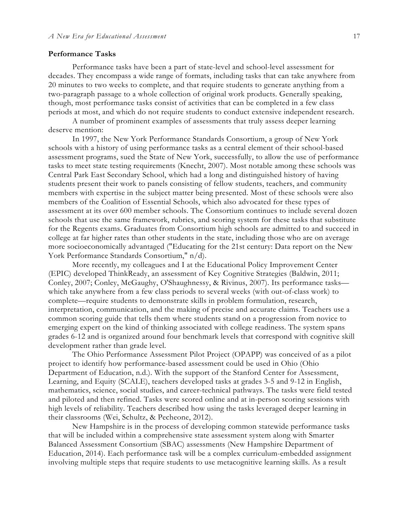#### **Performance Tasks**

Performance tasks have been a part of state-level and school-level assessment for decades. They encompass a wide range of formats, including tasks that can take anywhere from 20 minutes to two weeks to complete, and that require students to generate anything from a two-paragraph passage to a whole collection of original work products. Generally speaking, though, most performance tasks consist of activities that can be completed in a few class periods at most, and which do not require students to conduct extensive independent research.

A number of prominent examples of assessments that truly assess deeper learning deserve mention:

In 1997, the New York Performance Standards Consortium, a group of New York schools with a history of using performance tasks as a central element of their school-based assessment programs, sued the State of New York, successfully, to allow the use of performance tasks to meet state testing requirements (Knecht, 2007). Most notable among these schools was Central Park East Secondary School, which had a long and distinguished history of having students present their work to panels consisting of fellow students, teachers, and community members with expertise in the subject matter being presented. Most of these schools were also members of the Coalition of Essential Schools, which also advocated for these types of assessment at its over 600 member schools. The Consortium continues to include several dozen schools that use the same framework, rubrics, and scoring system for these tasks that substitute for the Regents exams. Graduates from Consortium high schools are admitted to and succeed in college at far higher rates than other students in the state, including those who are on average more socioeconomically advantaged ("Educating for the 21st century: Data report on the New York Performance Standards Consortium," n/d).

More recently, my colleagues and I at the Educational Policy Improvement Center (EPIC) developed ThinkReady, an assessment of Key Cognitive Strategies (Baldwin, 2011; Conley, 2007; Conley, McGaughy, O'Shaughnessy, & Rivinus, 2007). Its performance tasks which take anywhere from a few class periods to several weeks (with out-of-class work) to complete—require students to demonstrate skills in problem formulation, research, interpretation, communication, and the making of precise and accurate claims. Teachers use a common scoring guide that tells them where students stand on a progression from novice to emerging expert on the kind of thinking associated with college readiness. The system spans grades 6-12 and is organized around four benchmark levels that correspond with cognitive skill development rather than grade level.

The Ohio Performance Assessment Pilot Project (OPAPP) was conceived of as a pilot project to identify how performance-based assessment could be used in Ohio (Ohio Department of Education, n.d.). With the support of the Stanford Center for Assessment, Learning, and Equity (SCALE), teachers developed tasks at grades 3-5 and 9-12 in English, mathematics, science, social studies, and career-technical pathways. The tasks were field tested and piloted and then refined. Tasks were scored online and at in-person scoring sessions with high levels of reliability. Teachers described how using the tasks leveraged deeper learning in their classrooms (Wei, Schultz, & Pecheone, 2012).

New Hampshire is in the process of developing common statewide performance tasks that will be included within a comprehensive state assessment system along with Smarter Balanced Assessment Consortium (SBAC) assessments (New Hampshire Department of Education, 2014). Each performance task will be a complex curriculum-embedded assignment involving multiple steps that require students to use metacognitive learning skills. As a result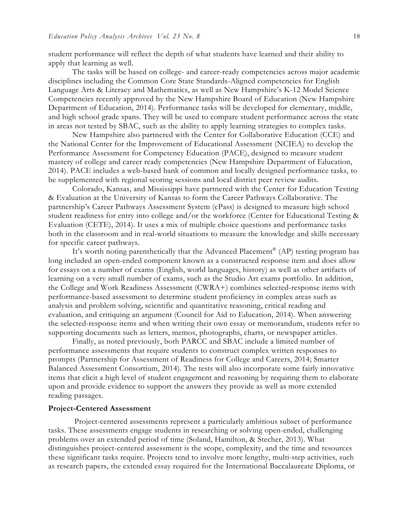student performance will reflect the depth of what students have learned and their ability to apply that learning as well.

The tasks will be based on college- and career-ready competencies across major academic disciplines including the Common Core State Standards-Aligned competencies for English Language Arts & Literacy and Mathematics, as well as New Hampshire's K-12 Model Science Competencies recently approved by the New Hampshire Board of Education (New Hampshire Department of Education, 2014). Performance tasks will be developed for elementary, middle, and high school grade spans. They will be used to compare student performance across the state in areas not tested by SBAC, such as the ability to apply learning strategies to complex tasks.

New Hampshire also partnered with the Center for Collaborative Education (CCE) and the National Center for the Improvement of Educational Assessment (NCIEA) to develop the Performance Assessment for Competency Education (PACE), designed to measure student mastery of college and career ready competencies (New Hampshire Department of Education, 2014). PACE includes a web-based bank of common and locally designed performance tasks, to be supplemented with regional scoring sessions and local district peer review audits.

Colorado, Kansas, and Mississippi have partnered with the Center for Education Testing & Evaluation at the University of Kansas to form the Career Pathways Collaborative. The partnership's Career Pathways Assessment System (cPass) is designed to measure high school student readiness for entry into college and/or the workforce (Center for Educational Testing & Evaluation (CETE), 2014). It uses a mix of multiple choice questions and performance tasks both in the classroom and in real-world situations to measure the knowledge and skills necessary for specific career pathways.

It's worth noting parenthetically that the Advanced Placement<sup>®</sup> (AP) testing program has long included an open-ended component known as a constructed response item and does allow for essays on a number of exams (English, world languages, history) as well as other artifacts of learning on a very small number of exams, such as the Studio Art exams portfolio. In addition, the College and Work Readiness Assessment (CWRA+) combines selected-response items with performance-based assessment to determine student proficiency in complex areas such as analysis and problem solving, scientific and quantitative reasoning, critical reading and evaluation, and critiquing an argument (Council for Aid to Education, 2014). When answering the selected-response items and when writing their own essay or memorandum, students refer to supporting documents such as letters, memos, photographs, charts, or newspaper articles.

Finally, as noted previously, both PARCC and SBAC include a limited number of performance assessments that require students to construct complex written responses to prompts (Partnership for Assessment of Readiness for College and Careers, 2014; Smarter Balanced Assessment Consortium, 2014). The tests will also incorporate some fairly innovative items that elicit a high level of student engagement and reasoning by requiring them to elaborate upon and provide evidence to support the answers they provide as well as more extended reading passages.

#### **Project-Centered Assessment**

Project-centered assessments represent a particularly ambitious subset of performance tasks. These assessments engage students in researching or solving open-ended, challenging problems over an extended period of time (Soland, Hamilton, & Stecher, 2013). What distinguishes project-centered assessment is the scope, complexity, and the time and resources these significant tasks require. Projects tend to involve more lengthy, multi-step activities, such as research papers, the extended essay required for the International Baccalaureate Diploma, or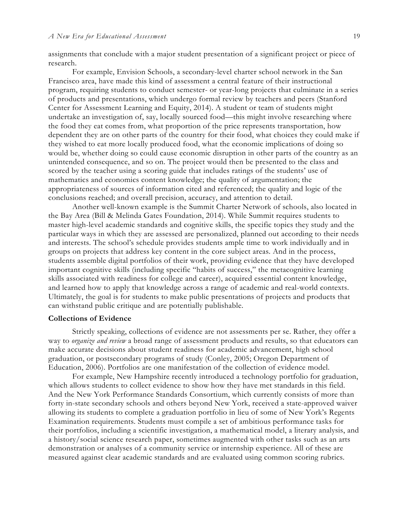assignments that conclude with a major student presentation of a significant project or piece of research.

For example, Envision Schools, a secondary-level charter school network in the San Francisco area, have made this kind of assessment a central feature of their instructional program, requiring students to conduct semester- or year-long projects that culminate in a series of products and presentations, which undergo formal review by teachers and peers (Stanford Center for Assessment Learning and Equity, 2014). A student or team of students might undertake an investigation of, say, locally sourced food—this might involve researching where the food they eat comes from, what proportion of the price represents transportation, how dependent they are on other parts of the country for their food, what choices they could make if they wished to eat more locally produced food, what the economic implications of doing so would be, whether doing so could cause economic disruption in other parts of the country as an unintended consequence, and so on. The project would then be presented to the class and scored by the teacher using a scoring guide that includes ratings of the students' use of mathematics and economics content knowledge; the quality of argumentation; the appropriateness of sources of information cited and referenced; the quality and logic of the conclusions reached; and overall precision, accuracy, and attention to detail.

Another well-known example is the Summit Charter Network of schools, also located in the Bay Area (Bill & Melinda Gates Foundation, 2014). While Summit requires students to master high-level academic standards and cognitive skills, the specific topics they study and the particular ways in which they are assessed are personalized, planned out according to their needs and interests. The school's schedule provides students ample time to work individually and in groups on projects that address key content in the core subject areas. And in the process, students assemble digital portfolios of their work, providing evidence that they have developed important cognitive skills (including specific "habits of success," the metacognitive learning skills associated with readiness for college and career), acquired essential content knowledge, and learned how to apply that knowledge across a range of academic and real-world contexts. Ultimately, the goal is for students to make public presentations of projects and products that can withstand public critique and are potentially publishable.

#### **Collections of Evidence**

Strictly speaking, collections of evidence are not assessments per se. Rather, they offer a way to *organize and review* a broad range of assessment products and results, so that educators can make accurate decisions about student readiness for academic advancement, high school graduation, or postsecondary programs of study (Conley, 2005; Oregon Department of Education, 2006). Portfolios are one manifestation of the collection of evidence model.

For example, New Hampshire recently introduced a technology portfolio for graduation, which allows students to collect evidence to show how they have met standards in this field. And the New York Performance Standards Consortium, which currently consists of more than forty in-state secondary schools and others beyond New York, received a state-approved waiver allowing its students to complete a graduation portfolio in lieu of some of New York's Regents Examination requirements. Students must compile a set of ambitious performance tasks for their portfolios, including a scientific investigation, a mathematical model, a literary analysis, and a history/social science research paper, sometimes augmented with other tasks such as an arts demonstration or analyses of a community service or internship experience. All of these are measured against clear academic standards and are evaluated using common scoring rubrics.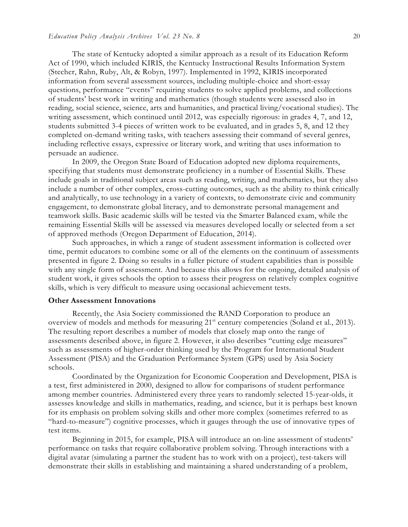The state of Kentucky adopted a similar approach as a result of its Education Reform Act of 1990, which included KIRIS, the Kentucky Instructional Results Information System (Stecher, Rahn, Ruby, Alt, & Robyn, 1997). Implemented in 1992, KIRIS incorporated information from several assessment sources, including multiple-choice and short-essay questions, performance "events" requiring students to solve applied problems, and collections of students' best work in writing and mathematics (though students were assessed also in reading, social science, science, arts and humanities, and practical living/vocational studies). The writing assessment, which continued until 2012, was especially rigorous: in grades 4, 7, and 12, students submitted 3-4 pieces of written work to be evaluated, and in grades 5, 8, and 12 they completed on-demand writing tasks, with teachers assessing their command of several genres, including reflective essays, expressive or literary work, and writing that uses information to persuade an audience.

In 2009, the Oregon State Board of Education adopted new diploma requirements, specifying that students must demonstrate proficiency in a number of Essential Skills. These include goals in traditional subject areas such as reading, writing, and mathematics, but they also include a number of other complex, cross-cutting outcomes, such as the ability to think critically and analytically, to use technology in a variety of contexts, to demonstrate civic and community engagement, to demonstrate global literacy, and to demonstrate personal management and teamwork skills. Basic academic skills will be tested via the Smarter Balanced exam, while the remaining Essential Skills will be assessed via measures developed locally or selected from a set of approved methods (Oregon Department of Education, 2014).

Such approaches, in which a range of student assessment information is collected over time, permit educators to combine some or all of the elements on the continuum of assessments presented in figure 2. Doing so results in a fuller picture of student capabilities than is possible with any single form of assessment. And because this allows for the ongoing, detailed analysis of student work, it gives schools the option to assess their progress on relatively complex cognitive skills, which is very difficult to measure using occasional achievement tests.

#### **Other Assessment Innovations**

Recently, the Asia Society commissioned the RAND Corporation to produce an overview of models and methods for measuring 21<sup>st</sup> century competencies (Soland et al., 2013). The resulting report describes a number of models that closely map onto the range of assessments described above, in figure 2. However, it also describes "cutting edge measures" such as assessments of higher-order thinking used by the Program for International Student Assessment (PISA) and the Graduation Performance System (GPS) used by Asia Society schools.

Coordinated by the Organization for Economic Cooperation and Development, PISA is a test, first administered in 2000, designed to allow for comparisons of student performance among member countries. Administered every three years to randomly selected 15-year-olds, it assesses knowledge and skills in mathematics, reading, and science, but it is perhaps best known for its emphasis on problem solving skills and other more complex (sometimes referred to as "hard-to-measure") cognitive processes, which it gauges through the use of innovative types of test items.

Beginning in 2015, for example, PISA will introduce an on-line assessment of students' performance on tasks that require collaborative problem solving. Through interactions with a digital avatar (simulating a partner the student has to work with on a project), test-takers will demonstrate their skills in establishing and maintaining a shared understanding of a problem,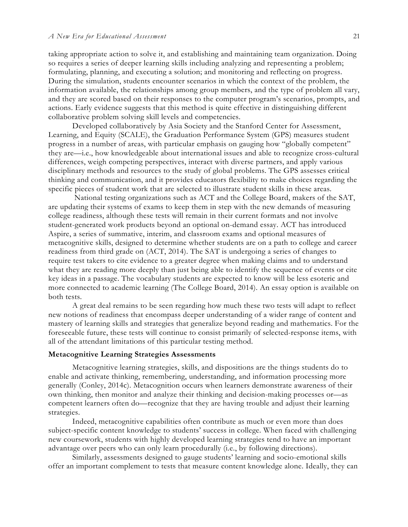taking appropriate action to solve it, and establishing and maintaining team organization. Doing so requires a series of deeper learning skills including analyzing and representing a problem; formulating, planning, and executing a solution; and monitoring and reflecting on progress. During the simulation, students encounter scenarios in which the context of the problem, the information available, the relationships among group members, and the type of problem all vary, and they are scored based on their responses to the computer program's scenarios, prompts, and actions. Early evidence suggests that this method is quite effective in distinguishing different collaborative problem solving skill levels and competencies.

Developed collaboratively by Asia Society and the Stanford Center for Assessment, Learning, and Equity (SCALE), the Graduation Performance System (GPS) measures student progress in a number of areas, with particular emphasis on gauging how "globally competent" they are—i.e., how knowledgeable about international issues and able to recognize cross-cultural differences, weigh competing perspectives, interact with diverse partners, and apply various disciplinary methods and resources to the study of global problems. The GPS assesses critical thinking and communication, and it provides educators flexibility to make choices regarding the specific pieces of student work that are selected to illustrate student skills in these areas.

National testing organizations such as ACT and the College Board, makers of the SAT, are updating their systems of exams to keep them in step with the new demands of measuring college readiness, although these tests will remain in their current formats and not involve student-generated work products beyond an optional on-demand essay. ACT has introduced Aspire, a series of summative, interim, and classroom exams and optional measures of metacognitive skills, designed to determine whether students are on a path to college and career readiness from third grade on (ACT, 2014). The SAT is undergoing a series of changes to require test takers to cite evidence to a greater degree when making claims and to understand what they are reading more deeply than just being able to identify the sequence of events or cite key ideas in a passage. The vocabulary students are expected to know will be less esoteric and more connected to academic learning (The College Board, 2014). An essay option is available on both tests.

A great deal remains to be seen regarding how much these two tests will adapt to reflect new notions of readiness that encompass deeper understanding of a wider range of content and mastery of learning skills and strategies that generalize beyond reading and mathematics. For the foreseeable future, these tests will continue to consist primarily of selected-response items, with all of the attendant limitations of this particular testing method.

#### **Metacognitive Learning Strategies Assessments**

Metacognitive learning strategies, skills, and dispositions are the things students do to enable and activate thinking, remembering, understanding, and information processing more generally (Conley, 2014c). Metacognition occurs when learners demonstrate awareness of their own thinking, then monitor and analyze their thinking and decision-making processes or—as competent learners often do—recognize that they are having trouble and adjust their learning strategies.

Indeed, metacognitive capabilities often contribute as much or even more than does subject-specific content knowledge to students' success in college. When faced with challenging new coursework, students with highly developed learning strategies tend to have an important advantage over peers who can only learn procedurally (i.e., by following directions).

Similarly, assessments designed to gauge students' learning and socio-emotional skills offer an important complement to tests that measure content knowledge alone. Ideally, they can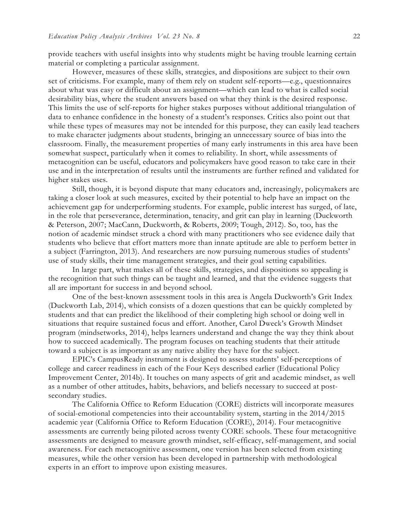provide teachers with useful insights into why students might be having trouble learning certain material or completing a particular assignment.

However, measures of these skills, strategies, and dispositions are subject to their own set of criticisms. For example, many of them rely on student self-reports—e.g., questionnaires about what was easy or difficult about an assignment—which can lead to what is called social desirability bias, where the student answers based on what they think is the desired response. This limits the use of self-reports for higher stakes purposes without additional triangulation of data to enhance confidence in the honesty of a student's responses. Critics also point out that while these types of measures may not be intended for this purpose, they can easily lead teachers to make character judgments about students, bringing an unnecessary source of bias into the classroom. Finally, the measurement properties of many early instruments in this area have been somewhat suspect, particularly when it comes to reliability. In short, while assessments of metacognition can be useful, educators and policymakers have good reason to take care in their use and in the interpretation of results until the instruments are further refined and validated for higher stakes uses.

Still, though, it is beyond dispute that many educators and, increasingly, policymakers are taking a closer look at such measures, excited by their potential to help have an impact on the achievement gap for underperforming students. For example, public interest has surged, of late, in the role that perseverance, determination, tenacity, and grit can play in learning (Duckworth & Peterson, 2007; MacCann, Duckworth, & Roberts, 2009; Tough, 2012). So, too, has the notion of academic mindset struck a chord with many practitioners who see evidence daily that students who believe that effort matters more than innate aptitude are able to perform better in a subject (Farrington, 2013). And researchers are now pursuing numerous studies of students' use of study skills, their time management strategies, and their goal setting capabilities.

In large part, what makes all of these skills, strategies, and dispositions so appealing is the recognition that such things can be taught and learned, and that the evidence suggests that all are important for success in and beyond school.

One of the best-known assessment tools in this area is Angela Duckworth's Grit Index (Duckworth Lab, 2014), which consists of a dozen questions that can be quickly completed by students and that can predict the likelihood of their completing high school or doing well in situations that require sustained focus and effort. Another, Carol Dweck's Growth Mindset program (mindsetworks, 2014), helps learners understand and change the way they think about how to succeed academically. The program focuses on teaching students that their attitude toward a subject is as important as any native ability they have for the subject.

EPIC's CampusReady instrument is designed to assess students' self-perceptions of college and career readiness in each of the Four Keys described earlier (Educational Policy Improvement Center, 2014b). It touches on many aspects of grit and academic mindset, as well as a number of other attitudes, habits, behaviors, and beliefs necessary to succeed at postsecondary studies.

The California Office to Reform Education (CORE) districts will incorporate measures of social-emotional competencies into their accountability system, starting in the 2014/2015 academic year (California Office to Reform Education (CORE), 2014). Four metacognitive assessments are currently being piloted across twenty CORE schools. These four metacognitive assessments are designed to measure growth mindset, self-efficacy, self-management, and social awareness. For each metacognitive assessment, one version has been selected from existing measures, while the other version has been developed in partnership with methodological experts in an effort to improve upon existing measures.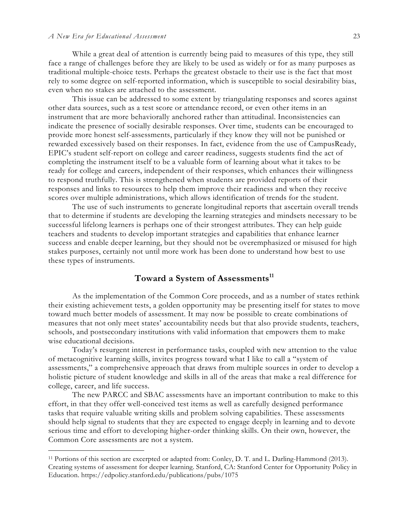#### *A New Era for Educational Assessment* 23

While a great deal of attention is currently being paid to measures of this type, they still face a range of challenges before they are likely to be used as widely or for as many purposes as traditional multiple-choice tests. Perhaps the greatest obstacle to their use is the fact that most rely to some degree on self-reported information, which is susceptible to social desirability bias, even when no stakes are attached to the assessment.

This issue can be addressed to some extent by triangulating responses and scores against other data sources, such as a test score or attendance record, or even other items in an instrument that are more behaviorally anchored rather than attitudinal. Inconsistencies can indicate the presence of socially desirable responses. Over time, students can be encouraged to provide more honest self-assessments, particularly if they know they will not be punished or rewarded excessively based on their responses. In fact, evidence from the use of CampusReady, EPIC's student self-report on college and career readiness, suggests students find the act of completing the instrument itself to be a valuable form of learning about what it takes to be ready for college and careers, independent of their responses, which enhances their willingness to respond truthfully. This is strengthened when students are provided reports of their responses and links to resources to help them improve their readiness and when they receive scores over multiple administrations, which allows identification of trends for the student.

The use of such instruments to generate longitudinal reports that ascertain overall trends that to determine if students are developing the learning strategies and mindsets necessary to be successful lifelong learners is perhaps one of their strongest attributes. They can help guide teachers and students to develop important strategies and capabilities that enhance learner success and enable deeper learning, but they should not be overemphasized or misused for high stakes purposes, certainly not until more work has been done to understand how best to use these types of instruments.

## Toward a System of Assessments<sup>11</sup>

As the implementation of the Common Core proceeds, and as a number of states rethink their existing achievement tests, a golden opportunity may be presenting itself for states to move toward much better models of assessment. It may now be possible to create combinations of measures that not only meet states' accountability needs but that also provide students, teachers, schools, and postsecondary institutions with valid information that empowers them to make wise educational decisions.

Today's resurgent interest in performance tasks, coupled with new attention to the value of metacognitive learning skills, invites progress toward what I like to call a "system of assessments," a comprehensive approach that draws from multiple sources in order to develop a holistic picture of student knowledge and skills in all of the areas that make a real difference for college, career, and life success.

The new PARCC and SBAC assessments have an important contribution to make to this effort, in that they offer well-conceived test items as well as carefully designed performance tasks that require valuable writing skills and problem solving capabilities. These assessments should help signal to students that they are expected to engage deeply in learning and to devote serious time and effort to developing higher-order thinking skills. On their own, however, the Common Core assessments are not a system.

 <sup>11</sup> Portions of this section are excerpted or adapted from: Conley, D. T. and L. Darling-Hammond (2013). Creating systems of assessment for deeper learning. Stanford, CA: Stanford Center for Opportunity Policy in Education. https://edpolicy.stanford.edu/publications/pubs/1075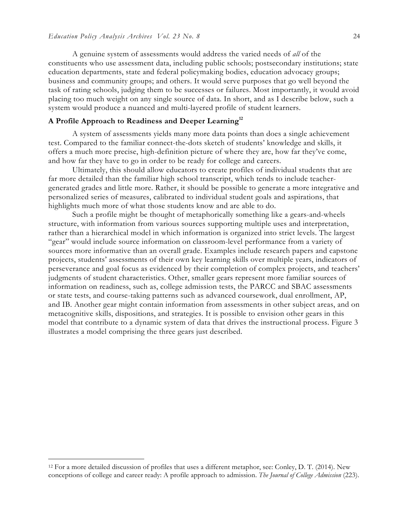A genuine system of assessments would address the varied needs of *all* of the constituents who use assessment data, including public schools; postsecondary institutions; state education departments, state and federal policymaking bodies, education advocacy groups; business and community groups; and others. It would serve purposes that go well beyond the task of rating schools, judging them to be successes or failures. Most importantly, it would avoid placing too much weight on any single source of data. In short, and as I describe below, such a system would produce a nuanced and multi-layered profile of student learners.

## A Profile Approach to Readiness and Deeper Learning<sup>12</sup>

A system of assessments yields many more data points than does a single achievement test. Compared to the familiar connect-the-dots sketch of students' knowledge and skills, it offers a much more precise, high-definition picture of where they are, how far they've come, and how far they have to go in order to be ready for college and careers.

Ultimately, this should allow educators to create profiles of individual students that are far more detailed than the familiar high school transcript, which tends to include teachergenerated grades and little more. Rather, it should be possible to generate a more integrative and personalized series of measures, calibrated to individual student goals and aspirations, that highlights much more of what those students know and are able to do.

Such a profile might be thought of metaphorically something like a gears-and-wheels structure, with information from various sources supporting multiple uses and interpretation, rather than a hierarchical model in which information is organized into strict levels. The largest "gear" would include source information on classroom-level performance from a variety of sources more informative than an overall grade. Examples include research papers and capstone projects, students' assessments of their own key learning skills over multiple years, indicators of perseverance and goal focus as evidenced by their completion of complex projects, and teachers' judgments of student characteristics. Other, smaller gears represent more familiar sources of information on readiness, such as, college admission tests, the PARCC and SBAC assessments or state tests, and course-taking patterns such as advanced coursework, dual enrollment, AP, and IB. Another gear might contain information from assessments in other subject areas, and on metacognitive skills, dispositions, and strategies. It is possible to envision other gears in this model that contribute to a dynamic system of data that drives the instructional process. Figure 3 illustrates a model comprising the three gears just described.

 <sup>12</sup> For a more detailed discussion of profiles that uses a different metaphor, see: Conley, D. T. (2014). New conceptions of college and career ready: A profile approach to admission. *The Journal of College Admission* (223).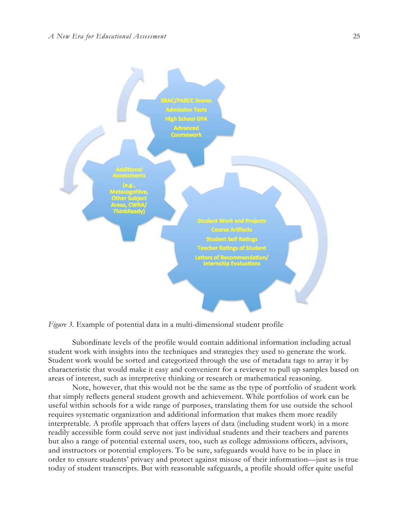



Subordinate levels of the profile would contain additional information including actual student work with insights into the techniques and strategies they used to generate the work. Student work would be sorted and categorized through the use of metadata tags to array it by characteristic that would make it easy and convenient for a reviewer to pull up samples based on areas of interest, such as interpretive thinking or research or mathematical reasoning.

Note, however, that this would not be the same as the type of portfolio of student work that simply reflects general student growth and achievement. While portfolios of work can be useful within schools for a wide range of purposes, translating them for use outside the school requires systematic organization and additional information that makes them more readily interpretable. A profile approach that offers layers of data (including student work) in a more readily accessible form could serve not just individual students and their teachers and parents but also a range of potential external users, too, such as college admissions officers, advisors, and instructors or potential employers. To be sure, safeguards would have to be in place in order to ensure students' privacy and protect against misuse of their information—just as is true today of student transcripts. But with reasonable safeguards, a profile should offer quite useful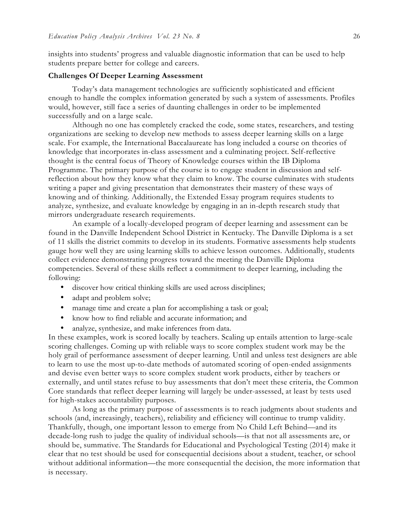insights into students' progress and valuable diagnostic information that can be used to help students prepare better for college and careers.

#### **Challenges Of Deeper Learning Assessment**

Today's data management technologies are sufficiently sophisticated and efficient enough to handle the complex information generated by such a system of assessments. Profiles would, however, still face a series of daunting challenges in order to be implemented successfully and on a large scale.

Although no one has completely cracked the code, some states, researchers, and testing organizations are seeking to develop new methods to assess deeper learning skills on a large scale. For example, the International Baccalaureate has long included a course on theories of knowledge that incorporates in-class assessment and a culminating project. Self-reflective thought is the central focus of Theory of Knowledge courses within the IB Diploma Programme. The primary purpose of the course is to engage student in discussion and selfreflection about how they know what they claim to know. The course culminates with students writing a paper and giving presentation that demonstrates their mastery of these ways of knowing and of thinking. Additionally, the Extended Essay program requires students to analyze, synthesize, and evaluate knowledge by engaging in an in-depth research study that mirrors undergraduate research requirements.

An example of a locally-developed program of deeper learning and assessment can be found in the Danville Independent School District in Kentucky. The Danville Diploma is a set of 11 skills the district commits to develop in its students. Formative assessments help students gauge how well they are using learning skills to achieve lesson outcomes. Additionally, students collect evidence demonstrating progress toward the meeting the Danville Diploma competencies. Several of these skills reflect a commitment to deeper learning, including the following:

- discover how critical thinking skills are used across disciplines;
- adapt and problem solve;
- manage time and create a plan for accomplishing a task or goal;
- know how to find reliable and accurate information; and
- analyze, synthesize, and make inferences from data.

In these examples, work is scored locally by teachers. Scaling up entails attention to large-scale scoring challenges. Coming up with reliable ways to score complex student work may be the holy grail of performance assessment of deeper learning. Until and unless test designers are able to learn to use the most up-to-date methods of automated scoring of open-ended assignments and devise even better ways to score complex student work products, either by teachers or externally, and until states refuse to buy assessments that don't meet these criteria, the Common Core standards that reflect deeper learning will largely be under-assessed, at least by tests used for high-stakes accountability purposes.

As long as the primary purpose of assessments is to reach judgments about students and schools (and, increasingly, teachers), reliability and efficiency will continue to trump validity. Thankfully, though, one important lesson to emerge from No Child Left Behind—and its decade-long rush to judge the quality of individual schools—is that not all assessments are, or should be, summative. The Standards for Educational and Psychological Testing (2014) make it clear that no test should be used for consequential decisions about a student, teacher, or school without additional information—the more consequential the decision, the more information that is necessary.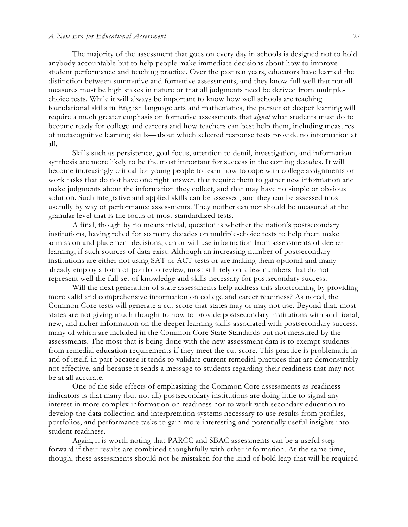The majority of the assessment that goes on every day in schools is designed not to hold anybody accountable but to help people make immediate decisions about how to improve student performance and teaching practice. Over the past ten years, educators have learned the distinction between summative and formative assessments, and they know full well that not all measures must be high stakes in nature or that all judgments need be derived from multiplechoice tests. While it will always be important to know how well schools are teaching foundational skills in English language arts and mathematics, the pursuit of deeper learning will require a much greater emphasis on formative assessments that *signal* what students must do to become ready for college and careers and how teachers can best help them, including measures of metacognitive learning skills—about which selected response tests provide no information at all.

Skills such as persistence, goal focus, attention to detail, investigation, and information synthesis are more likely to be the most important for success in the coming decades. It will become increasingly critical for young people to learn how to cope with college assignments or work tasks that do not have one right answer, that require them to gather new information and make judgments about the information they collect, and that may have no simple or obvious solution. Such integrative and applied skills can be assessed, and they can be assessed most usefully by way of performance assessments. They neither can nor should be measured at the granular level that is the focus of most standardized tests.

A final, though by no means trivial, question is whether the nation's postsecondary institutions, having relied for so many decades on multiple-choice tests to help them make admission and placement decisions, can or will use information from assessments of deeper learning, if such sources of data exist. Although an increasing number of postsecondary institutions are either not using SAT or ACT tests or are making them optional and many already employ a form of portfolio review, most still rely on a few numbers that do not represent well the full set of knowledge and skills necessary for postsecondary success.

Will the next generation of state assessments help address this shortcoming by providing more valid and comprehensive information on college and career readiness? As noted, the Common Core tests will generate a cut score that states may or may not use. Beyond that, most states are not giving much thought to how to provide postsecondary institutions with additional, new, and richer information on the deeper learning skills associated with postsecondary success, many of which are included in the Common Core State Standards but not measured by the assessments. The most that is being done with the new assessment data is to exempt students from remedial education requirements if they meet the cut score. This practice is problematic in and of itself, in part because it tends to validate current remedial practices that are demonstrably not effective, and because it sends a message to students regarding their readiness that may not be at all accurate.

One of the side effects of emphasizing the Common Core assessments as readiness indicators is that many (but not all) postsecondary institutions are doing little to signal any interest in more complex information on readiness nor to work with secondary education to develop the data collection and interpretation systems necessary to use results from profiles, portfolios, and performance tasks to gain more interesting and potentially useful insights into student readiness.

Again, it is worth noting that PARCC and SBAC assessments can be a useful step forward if their results are combined thoughtfully with other information. At the same time, though, these assessments should not be mistaken for the kind of bold leap that will be required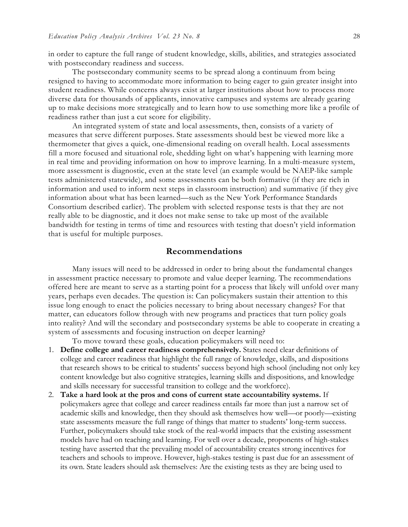in order to capture the full range of student knowledge, skills, abilities, and strategies associated with postsecondary readiness and success.

The postsecondary community seems to be spread along a continuum from being resigned to having to accommodate more information to being eager to gain greater insight into student readiness. While concerns always exist at larger institutions about how to process more diverse data for thousands of applicants, innovative campuses and systems are already gearing up to make decisions more strategically and to learn how to use something more like a profile of readiness rather than just a cut score for eligibility.

An integrated system of state and local assessments, then, consists of a variety of measures that serve different purposes. State assessments should best be viewed more like a thermometer that gives a quick, one-dimensional reading on overall health. Local assessments fill a more focused and situational role, shedding light on what's happening with learning more in real time and providing information on how to improve learning. In a multi-measure system, more assessment is diagnostic, even at the state level (an example would be NAEP-like sample tests administered statewide), and some assessments can be both formative (if they are rich in information and used to inform next steps in classroom instruction) and summative (if they give information about what has been learned—such as the New York Performance Standards Consortium described earlier). The problem with selected response tests is that they are not really able to be diagnostic, and it does not make sense to take up most of the available bandwidth for testing in terms of time and resources with testing that doesn't yield information that is useful for multiple purposes.

#### **Recommendations**

Many issues will need to be addressed in order to bring about the fundamental changes in assessment practice necessary to promote and value deeper learning. The recommendations offered here are meant to serve as a starting point for a process that likely will unfold over many years, perhaps even decades. The question is: Can policymakers sustain their attention to this issue long enough to enact the policies necessary to bring about necessary changes? For that matter, can educators follow through with new programs and practices that turn policy goals into reality? And will the secondary and postsecondary systems be able to cooperate in creating a system of assessments and focusing instruction on deeper learning?

To move toward these goals, education policymakers will need to:

- 1. **Define college and career readiness comprehensively.** States need clear definitions of college and career readiness that highlight the full range of knowledge, skills, and dispositions that research shows to be critical to students' success beyond high school (including not only key content knowledge but also cognitive strategies, learning skills and dispositions, and knowledge and skills necessary for successful transition to college and the workforce).
- 2. **Take a hard look at the pros and cons of current state accountability systems.** If policymakers agree that college and career readiness entails far more than just a narrow set of academic skills and knowledge, then they should ask themselves how well—or poorly—existing state assessments measure the full range of things that matter to students' long-term success. Further, policymakers should take stock of the real-world impacts that the existing assessment models have had on teaching and learning. For well over a decade, proponents of high-stakes testing have asserted that the prevailing model of accountability creates strong incentives for teachers and schools to improve. However, high-stakes testing is past due for an assessment of its own. State leaders should ask themselves: Are the existing tests as they are being used to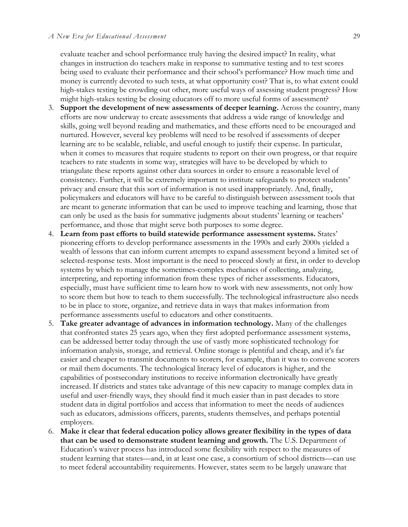evaluate teacher and school performance truly having the desired impact? In reality, what changes in instruction do teachers make in response to summative testing and to test scores being used to evaluate their performance and their school's performance? How much time and money is currently devoted to such tests, at what opportunity cost? That is, to what extent could high-stakes testing be crowding out other, more useful ways of assessing student progress? How might high-stakes testing be closing educators off to more useful forms of assessment?

- 3. **Support the development of new assessments of deeper learning.** Across the country, many efforts are now underway to create assessments that address a wide range of knowledge and skills, going well beyond reading and mathematics, and these efforts need to be encouraged and nurtured. However, several key problems will need to be resolved if assessments of deeper learning are to be scalable, reliable, and useful enough to justify their expense. In particular, when it comes to measures that require students to report on their own progress, or that require teachers to rate students in some way, strategies will have to be developed by which to triangulate these reports against other data sources in order to ensure a reasonable level of consistency. Further, it will be extremely important to institute safeguards to protect students' privacy and ensure that this sort of information is not used inappropriately. And, finally, policymakers and educators will have to be careful to distinguish between assessment tools that are meant to generate information that can be used to improve teaching and learning, those that can only be used as the basis for summative judgments about students' learning or teachers' performance, and those that might serve both purposes to some degree.
- 4. **Learn from past efforts to build statewide performance assessment systems.** States' pioneering efforts to develop performance assessments in the 1990s and early 2000s yielded a wealth of lessons that can inform current attempts to expand assessment beyond a limited set of selected-response tests. Most important is the need to proceed slowly at first, in order to develop systems by which to manage the sometimes-complex mechanics of collecting, analyzing, interpreting, and reporting information from these types of richer assessments. Educators, especially, must have sufficient time to learn how to work with new assessments, not only how to score them but how to teach to them successfully. The technological infrastructure also needs to be in place to store, organize, and retrieve data in ways that makes information from performance assessments useful to educators and other constituents.
- 5. **Take greater advantage of advances in information technology.** Many of the challenges that confronted states 25 years ago, when they first adopted performance assessment systems, can be addressed better today through the use of vastly more sophisticated technology for information analysis, storage, and retrieval. Online storage is plentiful and cheap, and it's far easier and cheaper to transmit documents to scorers, for example, than it was to convene scorers or mail them documents. The technological literacy level of educators is higher, and the capabilities of postsecondary institutions to receive information electronically have greatly increased. If districts and states take advantage of this new capacity to manage complex data in useful and user-friendly ways, they should find it much easier than in past decades to store student data in digital portfolios and access that information to meet the needs of audiences such as educators, admissions officers, parents, students themselves, and perhaps potential employers.
- 6. **Make it clear that federal education policy allows greater flexibility in the types of data that can be used to demonstrate student learning and growth.** The U.S. Department of Education's waiver process has introduced some flexibility with respect to the measures of student learning that states—and, in at least one case, a consortium of school districts—can use to meet federal accountability requirements. However, states seem to be largely unaware that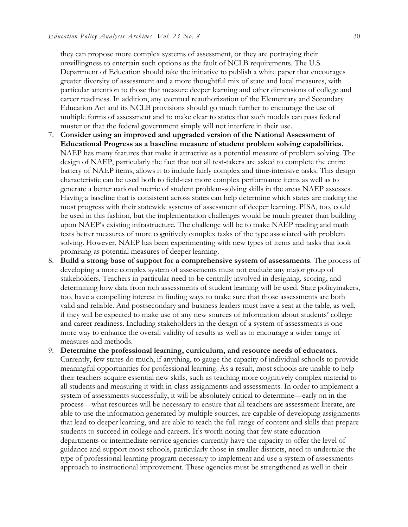they can propose more complex systems of assessment, or they are portraying their unwillingness to entertain such options as the fault of NCLB requirements. The U.S. Department of Education should take the initiative to publish a white paper that encourages greater diversity of assessment and a more thoughtful mix of state and local measures, with particular attention to those that measure deeper learning and other dimensions of college and career readiness. In addition, any eventual reauthorization of the Elementary and Secondary Education Act and its NCLB provisions should go much further to encourage the use of multiple forms of assessment and to make clear to states that such models can pass federal muster or that the federal government simply will not interfere in their use.

- 7. **Consider using an improved and upgraded version of the National Assessment of Educational Progress as a baseline measure of student problem solving capabilities.**  NAEP has many features that make it attractive as a potential measure of problem solving. The design of NAEP, particularly the fact that not all test-takers are asked to complete the entire battery of NAEP items, allows it to include fairly complex and time-intensive tasks. This design characteristic can be used both to field-test more complex performance items as well as to generate a better national metric of student problem-solving skills in the areas NAEP assesses. Having a baseline that is consistent across states can help determine which states are making the most progress with their statewide systems of assessment of deeper learning. PISA, too, could be used in this fashion, but the implementation challenges would be much greater than building upon NAEP's existing infrastructure. The challenge will be to make NAEP reading and math tests better measures of more cognitively complex tasks of the type associated with problem solving. However, NAEP has been experimenting with new types of items and tasks that look promising as potential measures of deeper learning.
- 8. **Build a strong base of support for a comprehensive system of assessments**. The process of developing a more complex system of assessments must not exclude any major group of stakeholders. Teachers in particular need to be centrally involved in designing, scoring, and determining how data from rich assessments of student learning will be used. State policymakers, too, have a compelling interest in finding ways to make sure that those assessments are both valid and reliable. And postsecondary and business leaders must have a seat at the table, as well, if they will be expected to make use of any new sources of information about students' college and career readiness. Including stakeholders in the design of a system of assessments is one more way to enhance the overall validity of results as well as to encourage a wider range of measures and methods.
- 9. **Determine the professional learning, curriculum, and resource needs of educators.**  Currently, few states do much, if anything, to gauge the capacity of individual schools to provide meaningful opportunities for professional learning. As a result, most schools are unable to help their teachers acquire essential new skills, such as teaching more cognitively complex material to all students and measuring it with in-class assignments and assessments. In order to implement a system of assessments successfully, it will be absolutely critical to determine—early on in the process—what resources will be necessary to ensure that all teachers are assessment literate, are able to use the information generated by multiple sources, are capable of developing assignments that lead to deeper learning, and are able to teach the full range of content and skills that prepare students to succeed in college and careers. It's worth noting that few state education departments or intermediate service agencies currently have the capacity to offer the level of guidance and support most schools, particularly those in smaller districts, need to undertake the type of professional learning program necessary to implement and use a system of assessments approach to instructional improvement. These agencies must be strengthened as well in their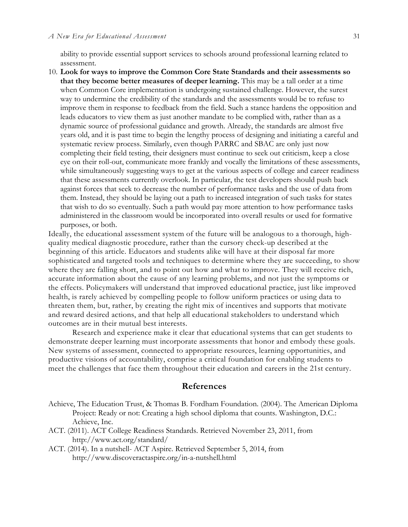#### *A New Era for Educational Assessment* 31

ability to provide essential support services to schools around professional learning related to assessment.

10. **Look for ways to improve the Common Core State Standards and their assessments so that they become better measures of deeper learning.** This may be a tall order at a time when Common Core implementation is undergoing sustained challenge. However, the surest way to undermine the credibility of the standards and the assessments would be to refuse to improve them in response to feedback from the field. Such a stance hardens the opposition and leads educators to view them as just another mandate to be complied with, rather than as a dynamic source of professional guidance and growth. Already, the standards are almost five years old, and it is past time to begin the lengthy process of designing and initiating a careful and systematic review process. Similarly, even though PARRC and SBAC are only just now completing their field testing, their designers must continue to seek out criticism, keep a close eye on their roll-out, communicate more frankly and vocally the limitations of these assessments, while simultaneously suggesting ways to get at the various aspects of college and career readiness that these assessments currently overlook. In particular, the test developers should push back against forces that seek to decrease the number of performance tasks and the use of data from them. Instead, they should be laying out a path to increased integration of such tasks for states that wish to do so eventually. Such a path would pay more attention to how performance tasks administered in the classroom would be incorporated into overall results or used for formative purposes, or both.

Ideally, the educational assessment system of the future will be analogous to a thorough, highquality medical diagnostic procedure, rather than the cursory check-up described at the beginning of this article. Educators and students alike will have at their disposal far more sophisticated and targeted tools and techniques to determine where they are succeeding, to show where they are falling short, and to point out how and what to improve. They will receive rich, accurate information about the cause of any learning problems, and not just the symptoms or the effects. Policymakers will understand that improved educational practice, just like improved health, is rarely achieved by compelling people to follow uniform practices or using data to threaten them, but, rather, by creating the right mix of incentives and supports that motivate and reward desired actions, and that help all educational stakeholders to understand which outcomes are in their mutual best interests.

Research and experience make it clear that educational systems that can get students to demonstrate deeper learning must incorporate assessments that honor and embody these goals. New systems of assessment, connected to appropriate resources, learning opportunities, and productive visions of accountability, comprise a critical foundation for enabling students to meet the challenges that face them throughout their education and careers in the 21st century.

## **References**

- Achieve, The Education Trust, & Thomas B. Fordham Foundation. (2004). The American Diploma Project: Ready or not: Creating a high school diploma that counts. Washington, D.C.: Achieve, Inc.
- ACT. (2011). ACT College Readiness Standards. Retrieved November 23, 2011, from http://www.act.org/standard/
- ACT. (2014). In a nutshell- ACT Aspire. Retrieved September 5, 2014, from http://www.discoveractaspire.org/in-a-nutshell.html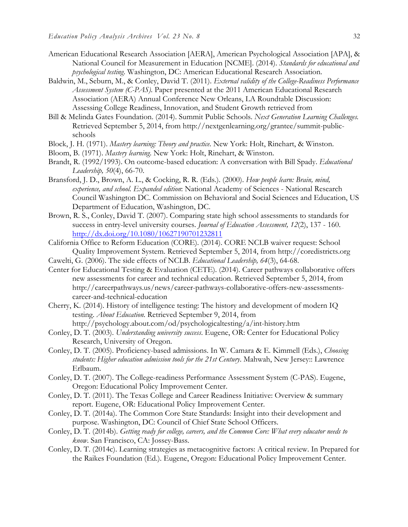- American Educational Research Association [AERA], American Psychological Association [APA], & National Council for Measurement in Education [NCME]. (2014). *Standards for educational and psychological testing*. Washington, DC: American Educational Research Association.
- Baldwin, M., Seburn, M., & Conley, David T. (2011). *External validity of the College-Readiness Performance Assessment System (C-PAS)*. Paper presented at the 2011 American Educational Research Association (AERA) Annual Conference New Orleans, LA Roundtable Discussion: Assessing College Readiness, Innovation, and Student Growth retrieved from
- Bill & Melinda Gates Foundation. (2014). Summit Public Schools. *Next Generation Learning Challenges.*  Retrieved September 5, 2014, from http://nextgenlearning.org/grantee/summit-publicschools
- Block, J. H. (1971). *Mastery learning: Theory and practice*. New York: Holt, Rinehart, & Winston.
- Bloom, B. (1971). *Mastery learning*. New York: Holt, Rinehart, & Winston.
- Brandt, R. (1992/1993). On outcome-based education: A conversation with Bill Spady. *Educational Leadership, 50*(4), 66-70.
- Bransford, J. D., Brown, A. L., & Cocking, R. R. (Eds.). (2000). *How people learn: Brain, mind, experience, and school. Expanded edition*: National Academy of Sciences - National Research Council Washington DC. Commission on Behavioral and Social Sciences and Education, US Department of Education, Washington, DC.
- Brown, R. S., Conley, David T. (2007). Comparing state high school assessments to standards for success in entry-level university courses. *Journal of Education Assessment, 12*(2), 137 - 160. http://dx.doi.org/10.1080/10627190701232811
- California Office to Reform Education (CORE). (2014). CORE NCLB waiver request: School Quality Improvement System. Retrieved September 5, 2014, from http://coredistricts.org
- Cawelti, G. (2006). The side effects of NCLB. *Educational Leadership, 64*(3), 64-68.
- Center for Educational Testing & Evaluation (CETE). (2014). Career pathways collaborative offers new assessments for career and technical education. Retrieved September 5, 2014, from http://careerpathways.us/news/career-pathways-collaborative-offers-new-assessmentscareer-and-technical-education
- Cherry, K. (2014). History of intelligence testing: The history and development of modern IQ testing. *About Education.* Retrieved September 9, 2014, from http://psychology.about.com/od/psychologicaltesting/a/int-history.htm
- Conley, D. T. (2003). *Understanding university success*. Eugene, OR: Center for Educational Policy Research, University of Oregon.
- Conley, D. T. (2005). Proficiency-based admissions. In W. Camara & E. Kimmell (Eds.), *Choosing students: Higher education admission tools for the 21st Century*. Mahwah, New Jersey:: Lawrence Erlbaum.
- Conley, D. T. (2007). The College-readiness Performance Assessment System (C-PAS). Eugene, Oregon: Educational Policy Improvement Center.
- Conley, D. T. (2011). The Texas College and Career Readiness Initiative: Overview & summary report. Eugene, OR: Educational Policy Improvement Center.
- Conley, D. T. (2014a). The Common Core State Standards: Insight into their development and purpose. Washington, DC: Council of Chief State School Officers.
- Conley, D. T. (2014b). *Getting ready for college, careers, and the Common Core: What every educator needs to know*. San Francisco, CA: Jossey-Bass.
- Conley, D. T. (2014c). Learning strategies as metacognitive factors: A critical review. In Prepared for the Raikes Foundation (Ed.). Eugene, Oregon: Educational Policy Improvement Center.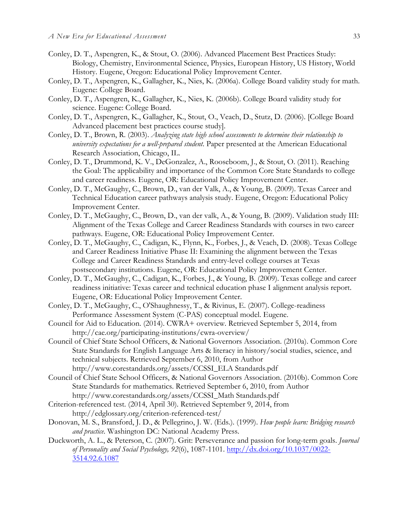- Conley, D. T., Aspengren, K., & Stout, O. (2006). Advanced Placement Best Practices Study: Biology, Chemistry, Environmental Science, Physics, European History, US History, World History. Eugene, Oregon: Educational Policy Improvement Center.
- Conley, D. T., Aspengren, K., Gallagher, K., Nies, K. (2006a). College Board validity study for math. Eugene: College Board.
- Conley, D. T., Aspengren, K., Gallagher, K., Nies, K. (2006b). College Board validity study for science. Eugene: College Board.
- Conley, D. T., Aspengren, K., Gallagher, K., Stout, O., Veach, D., Stutz, D. (2006). [College Board Advanced placement best practices course study].
- Conley, D. T., Brown, R. (2003). *Analyzing state high school assessments to determine their relationship to university expectations for a well-prepared student*. Paper presented at the American Educational Research Association, Chicago, IL.
- Conley, D. T., Drummond, K. V., DeGonzalez, A., Rooseboom, J., & Stout, O. (2011). Reaching the Goal: The applicability and importance of the Common Core State Standards to college and career readiness. Eugene, OR: Educational Policy Improvement Center.
- Conley, D. T., McGaughy, C., Brown, D., van der Valk, A., & Young, B. (2009). Texas Career and Technical Education career pathways analysis study. Eugene, Oregon: Educational Policy Improvement Center.
- Conley, D. T., McGaughy, C., Brown, D., van der valk, A., & Young, B. (2009). Validation study III: Alignment of the Texas College and Career Readiness Standards with courses in two career pathways. Eugene, OR: Educational Policy Improvement Center.
- Conley, D. T., McGaughy, C., Cadigan, K., Flynn, K., Forbes, J., & Veach, D. (2008). Texas College and Career Readiness Initiative Phase II: Examining the alignment between the Texas College and Career Readiness Standards and entry-level college courses at Texas postsecondary institutions. Eugene, OR: Educational Policy Improvement Center.
- Conley, D. T., McGaughy, C., Cadigan, K., Forbes, J., & Young, B. (2009). Texas college and career readiness initiative: Texas career and technical education phase I alignment analysis report. Eugene, OR: Educational Policy Improvement Center.
- Conley, D. T., McGaughy, C., O'Shaughnessy, T., & Rivinus, E. (2007). College-readiness Performance Assessment System (C-PAS) conceptual model. Eugene.
- Council for Aid to Education. (2014). CWRA+ overview. Retrieved September 5, 2014, from http://cae.org/participating-institutions/cwra-overview/
- Council of Chief State School Officers, & National Governors Association. (2010a). Common Core State Standards for English Language Arts & literacy in history/social studies, science, and technical subjects. Retrieved September 6, 2010, from Author http://www.corestandards.org/assets/CCSSI\_ELA Standards.pdf
- Council of Chief State School Officers, & National Governors Association. (2010b). Common Core State Standards for mathematics. Retrieved September 6, 2010, from Author http://www.corestandards.org/assets/CCSSI\_Math Standards.pdf
- Criterion-referenced test. (2014, April 30). Retrieved September 9, 2014, from http://edglossary.org/criterion-referenced-test/
- Donovan, M. S., Bransford, J. D., & Pellegrino, J. W. (Eds.). (1999). *How people learn: Bridging research and practice*. Washington DC: National Academy Press.
- Duckworth, A. L., & Peterson, C. (2007). Grit: Perseverance and passion for long-term goals. *Journal of Personality and Social Psychology, 92*(6), 1087-1101. http://dx.doi.org/10.1037/0022- 3514.92.6.1087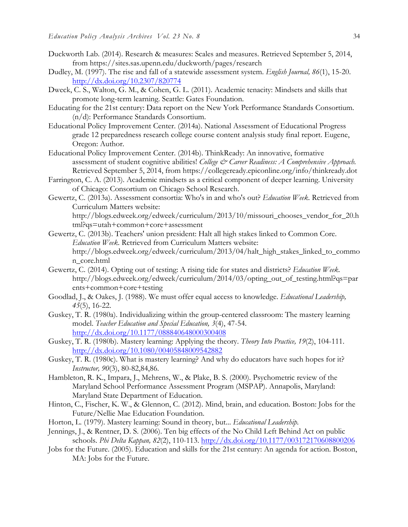- Duckworth Lab. (2014). Research & measures: Scales and measures. Retrieved September 5, 2014, from https://sites.sas.upenn.edu/duckworth/pages/research
- Dudley, M. (1997). The rise and fall of a statewide assessment system. *English Journal, 86*(1), 15-20. http://dx.doi.org/10.2307/820774
- Dweck, C. S., Walton, G. M., & Cohen, G. L. (2011). Academic tenacity: Mindsets and skills that promote long-term learning. Seattle: Gates Foundation.
- Educating for the 21st century: Data report on the New York Performance Standards Consortium. (n/d): Performance Standards Consortium.
- Educational Policy Improvement Center. (2014a). National Assessment of Educational Progress grade 12 preparedness research college course content analysis study final report. Eugene, Oregon: Author.
- Educational Policy Improvement Center. (2014b). ThinkReady: An innovative, formative assessment of student cognitive abilities! *College & Career Readiness: A Comprehensive Approach.* Retrieved September 5, 2014, from https://collegeready.epiconline.org/info/thinkready.dot
- Farrington, C. A. (2013). Academic mindsets as a critical component of deeper learning. University of Chicago: Consortium on Chicago School Research.
- Gewertz, C. (2013a). Assessment consortia: Who's in and who's out? *Education Week*. Retrieved from Curriculum Matters website: http://blogs.edweek.org/edweek/curriculum/2013/10/missouri\_chooses\_vendor\_for\_20.h tml?qs=utah+common+core+assessment
- Gewertz, C. (2013b). Teachers' union president: Halt all high stakes linked to Common Core. *Education Week*. Retrieved from Curriculum Matters website: http://blogs.edweek.org/edweek/curriculum/2013/04/halt\_high\_stakes\_linked\_to\_commo n\_core.html
- Gewertz, C. (2014). Opting out of testing: A rising tide for states and districts? *Education Week*. http://blogs.edweek.org/edweek/curriculum/2014/03/opting\_out\_of\_testing.html?qs=par ents+common+core+testing
- Goodlad, J., & Oakes, J. (1988). We must offer equal access to knowledge. *Educational Leadership, 45*(5), 16-22.
- Guskey, T. R. (1980a). Individualizing within the group-centered classroom: The mastery learning model. *Teacher Education and Special Education, 3*(4), 47-54. http://dx.doi.org/10.1177/088840648000300408
- Guskey, T. R. (1980b). Mastery learning: Applying the theory. *Theory Into Practice, 19*(2), 104-111. http://dx.doi.org/10.1080/00405848009542882
- Guskey, T. R. (1980c). What is mastery learning? And why do educators have such hopes for it? *Instructor, 90*(3), 80-82,84,86.
- Hambleton, R. K., Impara, J., Mehrens, W., & Plake, B. S. (2000). Psychometric review of the Maryland School Performance Assessment Program (MSPAP). Annapolis, Maryland: Maryland State Department of Education.
- Hinton, C., Fischer, K. W., & Glennon, C. (2012). Mind, brain, and education. Boston: Jobs for the Future/Nellie Mae Education Foundation.
- Horton, L. (1979). Mastery learning: Sound in theory, but... *Educational Leadership*.
- Jennings, J., & Rentner, D. S. (2006). Ten big effects of the No Child Left Behind Act on public schools. *Phi Delta Kappan, 82*(2), 110-113. http://dx.doi.org/10.1177/003172170608800206
- Jobs for the Future. (2005). Education and skills for the 21st century: An agenda for action. Boston, MA: Jobs for the Future.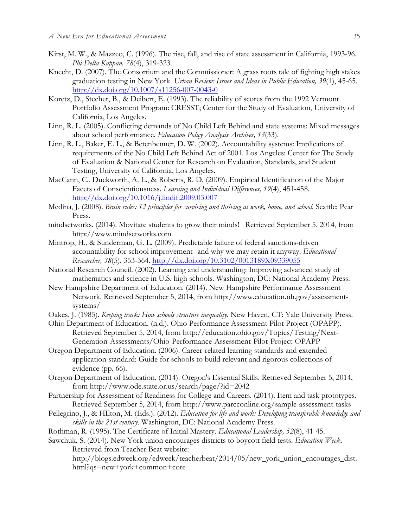- Kirst, M. W., & Mazzeo, C. (1996). The rise, fall, and rise of state assessment in California, 1993-96. *Phi Delta Kappan, 78*(4), 319-323.
- Knecht, D. (2007). The Consortium and the Commissioner: A grass roots tale of fighting high stakes graduation testing in New York. *Urban Review: Issues and Ideas in Public Education, 39*(1), 45-65. http://dx.doi.org/10.1007/s11256-007-0043-0
- Koretz, D., Stecher, B., & Deibert, E. (1993). The reliability of scores from the 1992 Vermont Portfolio Assessment Program: CRESST; Center for the Study of Evaluation, University of California, Los Angeles.
- Linn, R. L. (2005). Conflicting demands of No Child Left Behind and state systems: Mixed messages about school performance. *Education Policy Analysis Archives, 13*(33).
- Linn, R. L., Baker, E. L., & Betenbenner, D. W. (2002). Accountability systems: Implications of requirements of the No Child Left Behind Act of 2001. Los Angeles: Center for The Study of Evaluation & National Center for Research on Evaluation, Standards, and Student Testing, University of California, Los Angeles.
- MacCann, C., Duckworth, A. L., & Roberts, R. D. (2009). Empirical Identification of the Major Facets of Conscientiousness. *Learning and Individual Differences, 19*(4), 451-458. http://dx.doi.org/10.1016/j.lindif.2009.03.007
- Medina, J. (2008). *Brain rules: 12 principles for surviving and thriving at work, home, and school*. Seattle: Pear Press.
- mindsetworks. (2014). Movitate students to grow their minds! Retrieved September 5, 2014, from http://www.mindsetworks.com
- Mintrop, H., & Sunderman, G. L. (2009). Predictable failure of federal sanctions-driven accountability for school improvement--and why we may retain it anyway. *Educational Researcher, 38*(5), 353-364. http://dx.doi.org/10.3102/0013189X09339055
- National Research Council. (2002). Learning and understanding: Improving advanced study of mathematics and science in U.S. high schools. Washington, DC: National Academy Press.
- New Hampshire Department of Education. (2014). New Hampshire Performance Assessment Network. Retrieved September 5, 2014, from http://www.education.nh.gov/assessmentsystems/
- Oakes, J. (1985). *Keeping track: How schools structure inequality*. New Haven, CT: Yale University Press.
- Ohio Department of Education. (n.d.). Ohio Performance Assessment Pilot Project (OPAPP). Retrieved September 5, 2014, from http://education.ohio.gov/Topics/Testing/Next-Generation-Assessments/Ohio-Performance-Assessment-Pilot-Project-OPAPP
- Oregon Department of Education. (2006). Career-related learning standards and extended application standard: Guide for schools to build relevant and rigorous collections of evidence (pp. 66).
- Oregon Department of Education. (2014). Oregon's Essential Skills. Retrieved September 5, 2014, from http://www.ode.state.or.us/search/page/?id=2042
- Partnership for Assessment of Readiness for College and Careers. (2014). Item and task prototypes. Retrieved September 5, 2014, from http://www.parcconline.org/sample-assessment-tasks
- Pellegrino, J., & HIlton, M. (Eds.). (2012). *Education for life and work: Developing transferable knowledge and skills in the 21st century*. Washington, DC: National Academy Press.
- Rothman, R. (1995). The Certificate of Initial Mastery. *Educational Leadership, 52*(8), 41-45.

Sawchuk, S. (2014). New York union encourages districts to boycott field tests. *Education Week*. Retrieved from Teacher Beat website:

http://blogs.edweek.org/edweek/teacherbeat/2014/05/new\_york\_union\_encourages\_dist. html?qs=new+york+common+core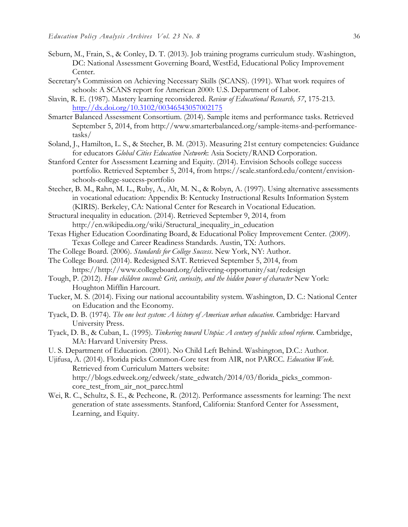- Seburn, M., Frain, S., & Conley, D. T. (2013). Job training programs curriculum study. Washington, DC: National Assessment Governing Board, WestEd, Educational Policy Improvement Center.
- Secretary's Commission on Achieving Necessary Skills (SCANS). (1991). What work requires of schools: A SCANS report for American 2000: U.S. Department of Labor.
- Slavin, R. E. (1987). Mastery learning reconsidered. *Review of Educational Research, 57*, 175-213. http://dx.doi.org/10.3102/00346543057002175
- Smarter Balanced Assessment Consortium. (2014). Sample items and performance tasks. Retrieved September 5, 2014, from http://www.smarterbalanced.org/sample-items-and-performancetasks/
- Soland, J., Hamilton, L. S., & Stecher, B. M. (2013). Measuring 21st century competencies: Guidance for educators *Global Cities Education Network*: Asia Society/RAND Corporation.
- Stanford Center for Assessment Learning and Equity. (2014). Envision Schools college success portfolio. Retrieved September 5, 2014, from https://scale.stanford.edu/content/envisionschools-college-success-portfolio
- Stecher, B. M., Rahn, M. L., Ruby, A., Alt, M. N., & Robyn, A. (1997). Using alternative assessments in vocational education: Appendix B: Kentucky Instructional Results Information System (KIRIS). Berkeley, CA: National Center for Research in Vocational Education.
- Structural inequality in education. (2014). Retrieved September 9, 2014, from http://en.wikipedia.org/wiki/Structural\_inequality\_in\_education
- Texas Higher Education Coordinating Board, & Educational Policy Improvement Center. (2009). Texas College and Career Readiness Standards. Austin, TX: Authors.
- The College Board. (2006). *Standards for College Success*. New York, NY: Author.
- The College Board. (2014). Redesigned SAT. Retrieved September 5, 2014, from https://http://www.collegeboard.org/delivering-opportunity/sat/redesign
- Tough, P. (2012). *How children succeed: Grit, curiosity, and the hidden power of character* New York: Houghton Mifflin Harcourt.
- Tucker, M. S. (2014). Fixing our national accountability system. Washington, D. C.: National Center on Education and the Economy.
- Tyack, D. B. (1974). *The one best system: A history of American urban education*. Cambridge: Harvard University Press.
- Tyack, D. B., & Cuban, L. (1995). *Tinkering toward Utopia: A century of public school reform*. Cambridge, MA: Harvard University Press.
- U. S. Department of Education. (2001). No Child Left Behind. Washington, D.C.: Author.
- Ujifusa, A. (2014). Florida picks Common-Core test from AIR, not PARCC. *Education Week*. Retrieved from Curriculum Matters website:

http://blogs.edweek.org/edweek/state\_edwatch/2014/03/florida\_picks\_commoncore\_test\_from\_air\_not\_parcc.html

Wei, R. C., Schultz, S. E., & Pecheone, R. (2012). Performance assessments for learning: The next generation of state assessments. Stanford, California: Stanford Center for Assessment, Learning, and Equity.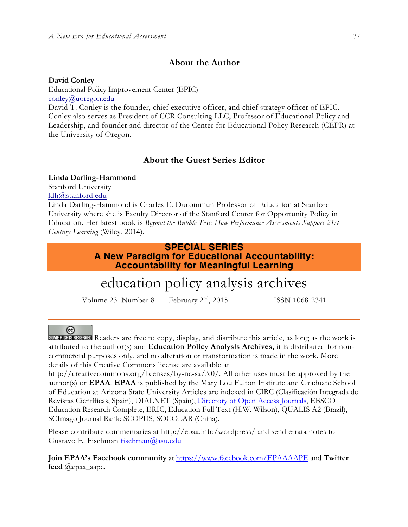## **About the Author**

#### **David Conley**

Educational Policy Improvement Center (EPIC) conley@uoregon.edu

David T. Conley is the founder, chief executive officer, and chief strategy officer of EPIC. Conley also serves as President of CCR Consulting LLC, Professor of Educational Policy and Leadership, and founder and director of the Center for Educational Policy Research (CEPR) at the University of Oregon.

## **About the Guest Series Editor**

#### **Linda Darling-Hammond**

Stanford University

ldh@stanford.edu

Linda Darling-Hammond is Charles E. Ducommun Professor of Education at Stanford University where she is Faculty Director of the Stanford Center for Opportunity Policy in Education. Her latest book is *Beyond the Bubble Test: How Performance Assessments Support 21st Century Learning* (Wiley, 2014).

## **SPECIAL SERIES**

**A New Paradigm for Educational Accountability: Accountability for Meaningful Learning**

# education policy analysis archives

Volume 23 Number 8 February 2<sup>nd</sup>, 2015 ISSN 1068-2341

## @

SOME RIGHTS RESERVED Readers are free to copy, display, and distribute this article, as long as the work is attributed to the author(s) and **Education Policy Analysis Archives,** it is distributed for noncommercial purposes only, and no alteration or transformation is made in the work. More details of this Creative Commons license are available at

http://creativecommons.org/licenses/by-nc-sa/3.0/. All other uses must be approved by the author(s) or **EPAA**. **EPAA** is published by the Mary Lou Fulton Institute and Graduate School of Education at Arizona State University Articles are indexed in CIRC (Clasificación Integrada de Revistas Científicas, Spain), DIALNET (Spain), Directory of Open Access Journals, EBSCO Education Research Complete, ERIC, Education Full Text (H.W. Wilson), QUALIS A2 (Brazil), SCImago Journal Rank; SCOPUS, SOCOLAR (China).

Please contribute commentaries at http://epaa.info/wordpress/ and send errata notes to Gustavo E. Fischman fischman@asu.edu

**Join EPAA's Facebook community** at https://www.facebook.com/EPAAAAPE and **Twitter feed** @epaa\_aape.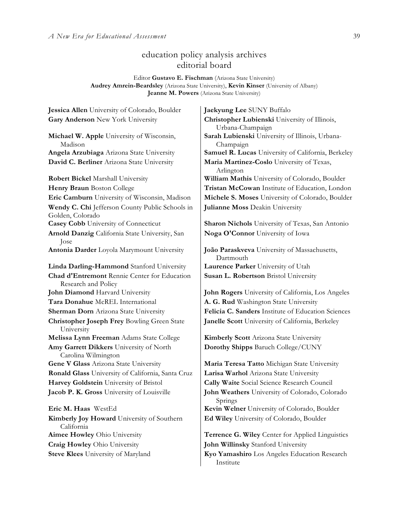## education policy analysis archives editorial board

Editor **Gustavo E. Fischman** (Arizona State University) **Audrey Amrein-Beardsley** (Arizona State University), **Kevin Kinser** (University of Albany) **Jeanne M. Powers** (Arizona State University)

**Jessica Allen** University of Colorado, Boulder **Jaekyung Lee** SUNY Buffalo

**Michael W. Apple** University of Wisconsin, Madison **David C. Berliner** Arizona State University **Maria Martinez-Coslo** University of Texas,

**Wendy C. Chi** Jefferson County Public Schools in Golden, Colorado **Casey Cobb** University of Connecticut **Sharon Nichols** University of Texas, San Antonio **Arnold Danzig** California State University, San Jose **Antonia Darder** Loyola Marymount University **João Paraskveva** University of Massachusetts, **Linda Darling-Hammond** Stanford University **Laurence Parker** University of Utah **Chad d'Entremont** Rennie Center for Education Research and Policy **John Diamond** Harvard University **John Rogers** University of California, Los Angeles **Tara Donahue** McREL International **A. G. Rud** Washington State University **Christopher Joseph Frey** Bowling Green State University **Melissa Lynn Freeman** Adams State College **Kimberly Scott** Arizona State University **Amy Garrett Dikkers** University of North Carolina Wilmington **Gene V Glass** Arizona State University **Maria Teresa Tatto** Michigan State University **Ronald Glass** University of California, Santa Cruz **Larisa Warhol** Arizona State University **Harvey Goldstein** University of Bristol **Cally Waite** Social Science Research Council **Eric M. Haas** WestEd **Kevin Welner** University of Colorado, Boulder

**Kimberly Joy Howard** University of Southern California **Aimee Howley** Ohio University **Terrence G. Wiley** Center for Applied Linguistics **Craig Howley** Ohio University **John Willinsky** Stanford University **Steve Klees** University of Maryland **Kyo Yamashiro** Los Angeles Education Research

**Gary Anderson** New York University **Christopher Lubienski** University of Illinois, Urbana-Champaign **Sarah Lubienski** University of Illinois, Urbana-Champaign **Angela Arzubiaga** Arizona State University **Samuel R. Lucas** University of California, Berkeley Arlington **Robert Bickel Marshall University William Mathis University of Colorado, Boulder Henry Braun** Boston College **Tristan McCowan** Institute of Education, London **Eric Camburn** University of Wisconsin, Madison **Michele S. Moses** University of Colorado, Boulder **Julianne Moss** Deakin University

**Noga O'Connor** University of Iowa

Dartmouth **Susan L. Robertson** Bristol University

**Sherman Dorn** Arizona State University **Felicia C. Sanders** Institute of Education Sciences **Janelle Scott** University of California, Berkeley

**Dorothy Shipps** Baruch College/CUNY

**Jacob P. K. Gross** University of Louisville **John Weathers** University of Colorado, Colorado Springs **Ed Wiley** University of Colorado, Boulder

Institute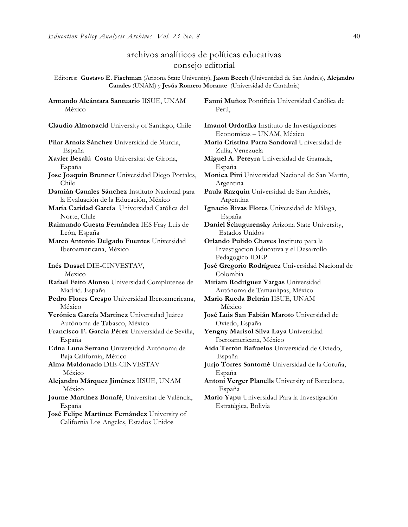**Armando Alcántara Santuario** IISUE, UNAM

## archivos analíticos de políticas educativas consejo editorial

Editores: **Gustavo E. Fischman** (Arizona State University), **Jason Beech** (Universidad de San Andrés), **Alejandro Canales** (UNAM) y **Jesús Romero Morante** (Universidad de Cantabria)

México **Claudio Almonacid** University of Santiago, Chile **Imanol Ordorika** Instituto de Investigaciones **Pilar Arnaiz Sánchez** Universidad de Murcia, España **Xavier Besalú Costa** Universitat de Girona, España **Jose Joaquin Brunner** Universidad Diego Portales, Chile **Damián Canales Sánchez** Instituto Nacional para la Evaluación de la Educación, México **María Caridad García** Universidad Católica del Norte, Chile **Raimundo Cuesta Fernández** IES Fray Luis de León, España **Marco Antonio Delgado Fuentes** Universidad Iberoamericana, México **Inés Dussel** DIE**-**CINVESTAV, Mexico **Rafael Feito Alonso** Universidad Complutense de Madrid. España **Pedro Flores Crespo** Universidad Iberoamericana, México **Verónica García Martínez** Universidad Juárez Autónoma de Tabasco, México **Francisco F. García Pérez** Universidad de Sevilla, España **Edna Luna Serrano** Universidad Autónoma de Baja California, México **Alma Maldonado** DIE-CINVESTAV México **Alejandro Márquez Jiménez** IISUE, UNAM México **Jaume Martínez Bonafé**, Universitat de València, España

**José Felipe Martínez Fernández** University of California Los Angeles, Estados Unidos

**Fanni Muñoz** Pontificia Universidad Católica de Perú,

Economicas – UNAM, México **Maria Cristina Parra Sandoval** Universidad de Zulia, Venezuela **Miguel A. Pereyra** Universidad de Granada, España **Monica Pini** Universidad Nacional de San Martín, Argentina **Paula Razquin** Universidad de San Andrés, Argentina **Ignacio Rivas Flores** Universidad de Málaga, España **Daniel Schugurensky** Arizona State University, Estados Unidos **Orlando Pulido Chaves** Instituto para la Investigacion Educativa y el Desarrollo Pedagogico IDEP **José Gregorio Rodríguez** Universidad Nacional de Colombia **Miriam Rodríguez Vargas** Universidad Autónoma de Tamaulipas, México **Mario Rueda Beltrán** IISUE, UNAM México **José Luis San Fabián Maroto** Universidad de Oviedo, España **Yengny Marisol Silva Laya** Universidad Iberoamericana, México **Aida Terrón Bañuelos** Universidad de Oviedo, España **Jurjo Torres Santomé** Universidad de la Coruña, España **Antoni Verger Planells** University of Barcelona, España **Mario Yapu** Universidad Para la Investigación Estratégica, Bolivia